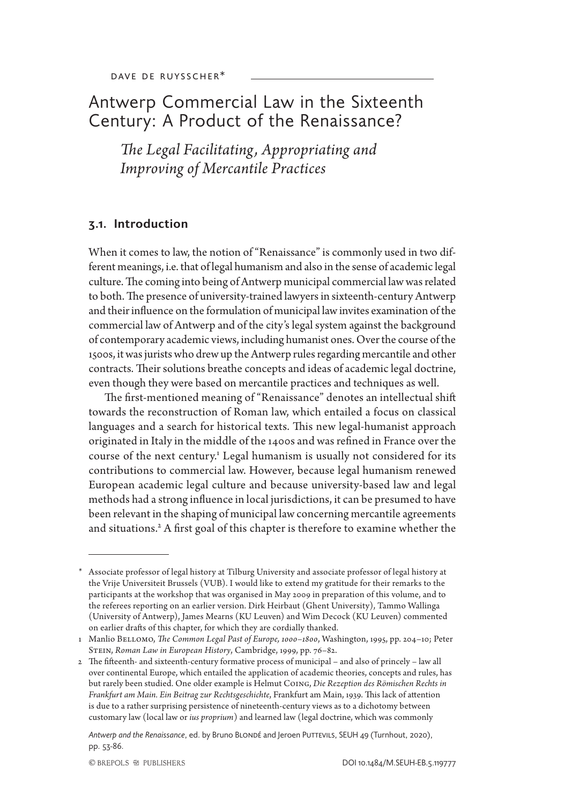# Antwerp Commercial Law in the Sixteenth Century: A Product of the Renaissance?

*The Legal Facilitating , Appropriating and Improving of Mercantile Practices*

### **3.1. Introduction**

When it comes to law, the notion of "Renaissance" is commonly used in two different meanings, i.e. that of legal humanism and also in the sense of academic legal culture. The coming into being of Antwerp municipal commercial law was related to both. The presence of university-trained lawyers in sixteenth-century Antwerp and their influence on the formulation of municipal law invites examination of the commercial law of Antwerp and of the city's legal system against the background of contemporary academic views, including humanist ones. Over the course of the 1500s, it was jurists who drew up the Antwerp rules regarding mercantile and other contracts. Their solutions breathe concepts and ideas of academic legal doctrine, even though they were based on mercantile practices and techniques as well.

The first-mentioned meaning of "Renaissance" denotes an intellectual shift towards the reconstruction of Roman law, which entailed a focus on classical languages and a search for historical texts. This new legal-humanist approach originated in Italy in the middle of the 1400s and was refined in France over the course of the next century.<sup>1</sup> Legal humanism is usually not considered for its contributions to commercial law. However, because legal humanism renewed European academic legal culture and because university-based law and legal methods had a strong influence in local jurisdictions, it can be presumed to have been relevant in the shaping of municipal law concerning mercantile agreements and situations.<sup>2</sup> A first goal of this chapter is therefore to examine whether the

<sup>\*</sup> Associate professor of legal history at Tilburg University and associate professor of legal history at the Vrije Universiteit Brussels (VUB). I would like to extend my gratitude for their remarks to the participants at the workshop that was organised in May 2009 in preparation of this volume, and to the referees reporting on an earlier version. Dirk Heirbaut (Ghent University), Tammo Wallinga (University of Antwerp), James Mearns (KU Leuven) and Wim Decock (KU Leuven) commented on earlier drafts of this chapter, for which they are cordially thanked.

<sup>1</sup> Manlio Bellomo, *The Common Legal Past of Europe, 1000–1800*, Washington, 1995, pp. 204–10; Peter Stein, *Roman Law in European History*, Cambridge, 1999, pp. 76–82.

<sup>2</sup> The fifteenth- and sixteenth-century formative process of municipal – and also of princely – law all over continental Europe, which entailed the application of academic theories, concepts and rules, has but rarely been studied. One older example is Helmut Coing, *Die Rezeption des Römischen Rechts in Frankfurt am Main. Ein Beitrag zur Rechtsgeschichte*, Frankfurt am Main, 1939. This lack of attention is due to a rather surprising persistence of nineteenth-century views as to a dichotomy between customary law (local law or *ius proprium*) and learned law (legal doctrine, which was commonly

Antwerp and the Renaissance, ed. by Bruno BLONDÉ and Jeroen PUTTEVILS, SEUH 49 (Turnhout, 2020), pp. 53-86.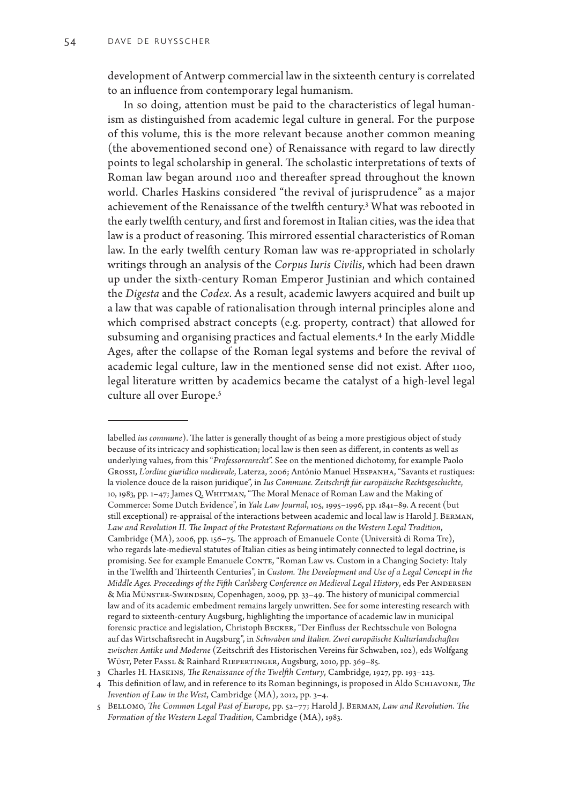development of Antwerp commercial law in the sixteenth century is correlated to an influence from contemporary legal humanism.

In so doing, attention must be paid to the characteristics of legal humanism as distinguished from academic legal culture in general. For the purpose of this volume, this is the more relevant because another common meaning (the abovementioned second one) of Renaissance with regard to law directly points to legal scholarship in general. The scholastic interpretations of texts of Roman law began around 1100 and thereafter spread throughout the known world. Charles Haskins considered "the revival of jurisprudence" as a major achievement of the Renaissance of the twelfth century.<sup>3</sup> What was rebooted in the early twelfth century, and first and foremost in Italian cities, was the idea that law is a product of reasoning. This mirrored essential characteristics of Roman law. In the early twelfth century Roman law was re-appropriated in scholarly writings through an analysis of the *Corpus Iuris Civilis*, which had been drawn up under the sixth-century Roman Emperor Justinian and which contained the *Digesta* and the *Codex*. As a result, academic lawyers acquired and built up a law that was capable of rationalisation through internal principles alone and which comprised abstract concepts (e.g. property, contract) that allowed for subsuming and organising practices and factual elements.<sup>4</sup> In the early Middle Ages, after the collapse of the Roman legal systems and before the revival of academic legal culture, law in the mentioned sense did not exist. After 1100, legal literature written by academics became the catalyst of a high-level legal culture all over Europe.<sup>5</sup>

labelled *ius commune*). The latter is generally thought of as being a more prestigious object of study because of its intricacy and sophistication; local law is then seen as different, in contents as well as underlying values, from this "*Professorenrecht*". See on the mentioned dichotomy, for example Paolo Grossi, *L'ordine giuridico medievale*, Laterza, 2006; António Manuel Hespanha, "Savants et rustiques: la violence douce de la raison juridique", in *Ius Commune. Zeitschrift für europäische Rechtsgeschichte*, 10, 1983, pp. 1–47; James Q. Whitman, "The Moral Menace of Roman Law and the Making of Commerce: Some Dutch Evidence", in *Yale Law Journal*, 105, 1995–1996, pp. 1841–89. A recent (but still exceptional) re-appraisal of the interactions between academic and local law is Harold J. Berman, *Law and Revolution II. The Impact of the Protestant Reformations on the Western Legal Tradition*, Cambridge (MA), 2006, pp. 156–75. The approach of Emanuele Conte (Università di Roma Tre), who regards late-medieval statutes of Italian cities as being intimately connected to legal doctrine, is promising. See for example Emanuele CONTE, "Roman Law vs. Custom in a Changing Society: Italy in the Twelfth and Thirteenth Centuries", in *Custom. The Development and Use of a Legal Concept in the Middle Ages. Proceedings of the Fifth Carlsberg Conference on Medieval Legal History*, eds Per Andersen & Mia Münster-Swendsen, Copenhagen, 2009, pp. 33–49. The history of municipal commercial law and of its academic embedment remains largely unwritten. See for some interesting research with regard to sixteenth-century Augsburg, highlighting the importance of academic law in municipal forensic practice and legislation, Christoph Becker, "Der Einfluss der Rechtsschule von Bologna auf das Wirtschaftsrecht in Augsburg", in *Schwaben und Italien. Zwei europäische Kulturlandschaften zwischen Antike und Moderne* (Zeitschrift des Historischen Vereins für Schwaben, 102), eds Wolfgang Wüst, Peter Fassl & Rainhard Riepertinger, Augsburg, 2010, pp. 369–85.

<sup>3</sup> Charles H. Haskins, *The Renaissance of the Twelfth Century*, Cambridge, 1927, pp. 193–223.

<sup>4</sup> This definition of law, and in reference to its Roman beginnings, is proposed in Aldo Schiavone, *The Invention of Law in the West*, Cambridge (MA), 2012, pp. 3–4.

<sup>5</sup> Bellomo, *The Common Legal Past of Europe*, pp. 52–77; Harold J. Berman, *Law and Revolution*. *The Formation of the Western Legal Tradition*, Cambridge (MA), 1983.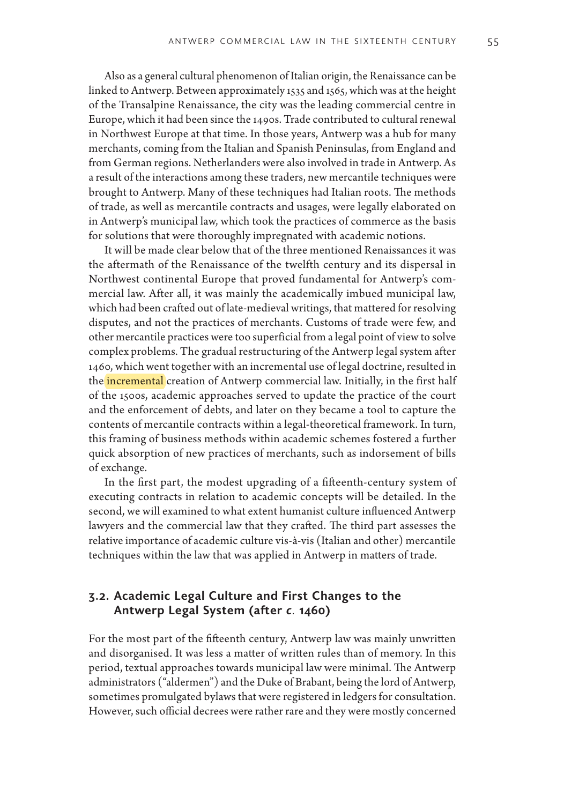Also as a general cultural phenomenon of Italian origin, the Renaissance can be linked to Antwerp. Between approximately 1535 and 1565, which was at the height of the Transalpine Renaissance, the city was the leading commercial centre in Europe, which it had been since the 1490s. Trade contributed to cultural renewal in Northwest Europe at that time. In those years, Antwerp was a hub for many merchants, coming from the Italian and Spanish Peninsulas, from England and from German regions. Netherlanders were also involved in trade in Antwerp. As a result of the interactions among these traders, new mercantile techniques were brought to Antwerp. Many of these techniques had Italian roots. The methods of trade, as well as mercantile contracts and usages, were legally elaborated on in Antwerp's municipal law, which took the practices of commerce as the basis for solutions that were thoroughly impregnated with academic notions.

It will be made clear below that of the three mentioned Renaissances it was the aftermath of the Renaissance of the twelfth century and its dispersal in Northwest continental Europe that proved fundamental for Antwerp's commercial law. After all, it was mainly the academically imbued municipal law, which had been crafted out of late-medieval writings, that mattered for resolving disputes, and not the practices of merchants. Customs of trade were few, and other mercantile practices were too superficial from a legal point of view to solve complex problems. The gradual restructuring of the Antwerp legal system after 1460, which went together with an incremental use of legal doctrine, resulted in the incremental creation of Antwerp commercial law. Initially, in the first half of the 1500s, academic approaches served to update the practice of the court and the enforcement of debts, and later on they became a tool to capture the contents of mercantile contracts within a legal-theoretical framework. In turn, this framing of business methods within academic schemes fostered a further quick absorption of new practices of merchants, such as indorsement of bills of exchange.

In the first part, the modest upgrading of a fifteenth-century system of executing contracts in relation to academic concepts will be detailed. In the second, we will examined to what extent humanist culture influenced Antwerp lawyers and the commercial law that they crafted. The third part assesses the relative importance of academic culture vis-à-vis (Italian and other) mercantile techniques within the law that was applied in Antwerp in matters of trade.

# **3.2. Academic Legal Culture and First Changes to the Antwerp Legal System (after** *c.* **1460)**

For the most part of the fifteenth century, Antwerp law was mainly unwritten and disorganised. It was less a matter of written rules than of memory. In this period, textual approaches towards municipal law were minimal. The Antwerp administrators ("aldermen") and the Duke of Brabant, being the lord of Antwerp, sometimes promulgated bylaws that were registered in ledgers for consultation. However, such official decrees were rather rare and they were mostly concerned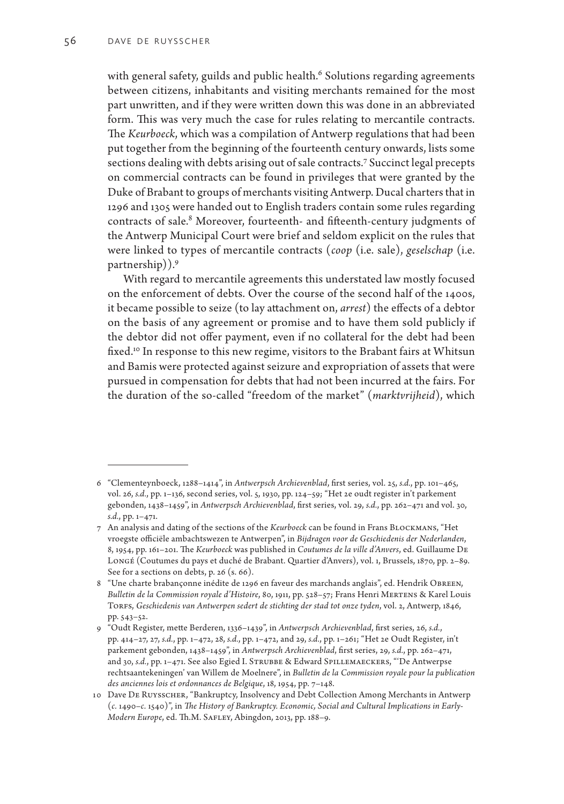with general safety, guilds and public health.<sup>6</sup> Solutions regarding agreements between citizens, inhabitants and visiting merchants remained for the most part unwritten, and if they were written down this was done in an abbreviated form. This was very much the case for rules relating to mercantile contracts. The *Keurboeck*, which was a compilation of Antwerp regulations that had been put together from the beginning of the fourteenth century onwards, lists some sections dealing with debts arising out of sale contracts.<sup>7</sup> Succinct legal precepts on commercial contracts can be found in privileges that were granted by the Duke of Brabant to groups of merchants visiting Antwerp. Ducal charters that in 1296 and 1305 were handed out to English traders contain some rules regarding contracts of sale.<sup>8</sup> Moreover, fourteenth- and fifteenth-century judgments of the Antwerp Municipal Court were brief and seldom explicit on the rules that were linked to types of mercantile contracts (*coop* (i.e. sale), *geselschap* (i.e. partnership)).9

With regard to mercantile agreements this understated law mostly focused on the enforcement of debts. Over the course of the second half of the 1400s, it became possible to seize (to lay attachment on, *arrest*) the effects of a debtor on the basis of any agreement or promise and to have them sold publicly if the debtor did not offer payment, even if no collateral for the debt had been fixed.<sup>10</sup> In response to this new regime, visitors to the Brabant fairs at Whitsun and Bamis were protected against seizure and expropriation of assets that were pursued in compensation for debts that had not been incurred at the fairs. For the duration of the so-called "freedom of the market" (*marktvrijheid*), which

<sup>6</sup> "Clementeynboeck, 1288–1414", in *Antwerpsch Archievenblad*, first series, vol. 25, *s.d.*, pp. 101–465, vol. 26, *s.d.*, pp. 1–136, second series, vol. 5, 1930, pp. 124–59; "Het 2e oudt register in't parkement gebonden, 1438–1459", in *Antwerpsch Archievenblad*, first series, vol. 29, *s.d.*, pp. 262–471 and vol. 30, *s.d.*, pp. 1–471.

<sup>7</sup> An analysis and dating of the sections of the *Keurboeck* can be found in Frans Blockmans, "Het vroegste officiële ambachtswezen te Antwerpen", in *Bijdragen voor de Geschiedenis der Nederlanden*, 8, 1954, pp. 161–201. The *Keurboeck* was published in *Coutumes de la ville d'Anvers*, ed. Guillaume De Longé (Coutumes du pays et duché de Brabant. Quartier d'Anvers), vol. 1, Brussels, 1870, pp. 2–89. See for a sections on debts, p. 26 (s. 66).

<sup>8 &</sup>quot;Une charte brabançonne inédite de 1296 en faveur des marchands anglais", ed. Hendrik OBREEN, *Bulletin de la Commission royale d'Histoire*, 80, 1911, pp. 528–57; Frans Henri Mertens & Karel Louis Torfs, *Geschiedenis van Antwerpen sedert de stichting der stad tot onze tyden*, vol. 2, Antwerp, 1846, pp. 543–52.

<sup>9</sup> "Oudt Register, mette Berderen, 1336–1439", in *Antwerpsch Archievenblad*, first series, 26, *s.d.*, pp. 414–27, 27, *s.d.*, pp. 1–472, 28, *s.d.*, pp. 1–472, and 29, *s.d.*, pp. 1–261; "Het 2e Oudt Register, in't parkement gebonden, 1438–1459", in *Antwerpsch Archievenblad*, first series, 29, *s.d.*, pp. 262–471, and 30, s.d., pp. 1-471. See also Egied I. STRUBBE & Edward SPILLEMAECKERS, "'De Antwerpse rechtsaantekeningen' van Willem de Moelnere", in *Bulletin de la Commission royale pour la publication des anciennes lois et ordonnances de Belgique*, 18, 1954, pp. 7–148.

<sup>10</sup> Dave De Ruysscher, "Bankruptcy, Insolvency and Debt Collection Among Merchants in Antwerp (*c.* 1490–*c.* 1540)", in *The History of Bankruptcy. Economic, Social and Cultural Implications in Early-Modern Europe*, ed. Th.M. Safley, Abingdon, 2013, pp. 188–9.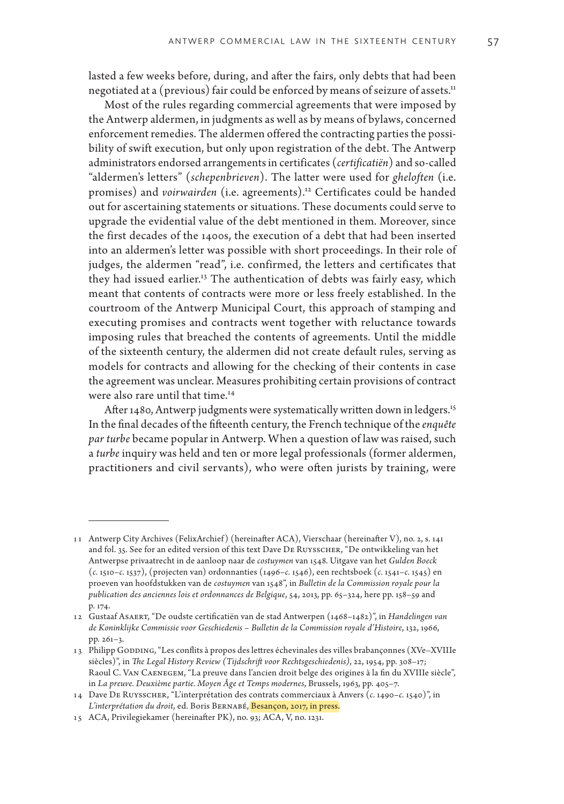lasted a few weeks before, during, and after the fairs, only debts that had been negotiated at a (previous) fair could be enforced by means of seizure of assets.<sup>11</sup>

Most of the rules regarding commercial agreements that were imposed by the Antwerp aldermen, in judgments as well as by means of bylaws, concerned enforcement remedies. The aldermen offered the contracting parties the possibility of swift execution, but only upon registration of the debt. The Antwerp administrators endorsed arrangements in certificates (*certificatiën*) and so-called "aldermen's letters" (*schepenbrieven*). The latter were used for *gheloften* (i.e. promises) and *voirwairden* (i.e. agreements).<sup>12</sup> Certificates could be handed out for ascertaining statements or situations. These documents could serve to upgrade the evidential value of the debt mentioned in them. Moreover, since the first decades of the 1400s, the execution of a debt that had been inserted into an aldermen's letter was possible with short proceedings. In their role of judges, the aldermen "read", i.e. confirmed, the letters and certificates that they had issued earlier.13 The authentication of debts was fairly easy, which meant that contents of contracts were more or less freely established. In the courtroom of the Antwerp Municipal Court, this approach of stamping and executing promises and contracts went together with reluctance towards imposing rules that breached the contents of agreements. Until the middle of the sixteenth century, the aldermen did not create default rules, serving as models for contracts and allowing for the checking of their contents in case the agreement was unclear. Measures prohibiting certain provisions of contract were also rare until that time.<sup>14</sup>

After 1480, Antwerp judgments were systematically written down in ledgers.<sup>15</sup> In the final decades of the fifteenth century, the French technique of the *enquête par turbe* became popular in Antwerp. When a question of law was raised, such a *turbe* inquiry was held and ten or more legal professionals (former aldermen, practitioners and civil servants), who were often jurists by training, were

<sup>11</sup> Antwerp City Archives (FelixArchief ) (hereinafter ACA), Vierschaar (hereinafter V), no. 2, s. 141 and fol. 35. See for an edited version of this text Dave De Ruysscher, "De ontwikkeling van het Antwerpse privaatrecht in de aanloop naar de *costuymen* van 1548. Uitgave van het *Gulden Boeck* (*c.* 1510–*c.* 1537), (projecten van) ordonnanties (1496–*c.* 1546), een rechtsboek (*c.* 1541–*c.* 1545) en proeven van hoofdstukken van de *costuymen* van 1548", in *Bulletin de la Commission royale pour la publication des anciennes lois et ordonnances de Belgique*, 54, 2013, pp. 65–324, here pp. 158–59 and p. 174.

<sup>12</sup> Gustaaf Asaert, "De oudste certificatiën van de stad Antwerpen (1468–1482)", in *Handelingen van de Koninklijke Commissie voor Geschiedenis – Bulletin de la Commission royale d'Histoire*, 132, 1966, pp. 261–3.

<sup>13</sup> Philipp GODDING, "Les conflits à propos des lettres échevinales des villes brabançonnes (XVe–XVIIIe siècles)", in *The Legal History Review (Tijdschrift voor Rechtsgeschiedenis)*, 22, 1954, pp. 308–17; Raoul C. Van Caenegem, "La preuve dans l'ancien droit belge des origines à la fin du XVIIIe siècle", in *La preuve. Deuxième partie. Moyen Âge et Temps modernes*, Brussels, 1963, pp. 405–7.

<sup>14</sup> Dave De Ruysscher, "L'interprétation des contrats commerciaux à Anvers (*c.* 1490–*c.* 1540)", in *L'interprétation du droit*, ed. Boris Bernabé, Besançon, 2017, in press.

<sup>15</sup> ACA, Privilegiekamer (hereinafter PK), no. 93; ACA, V, no. 1231.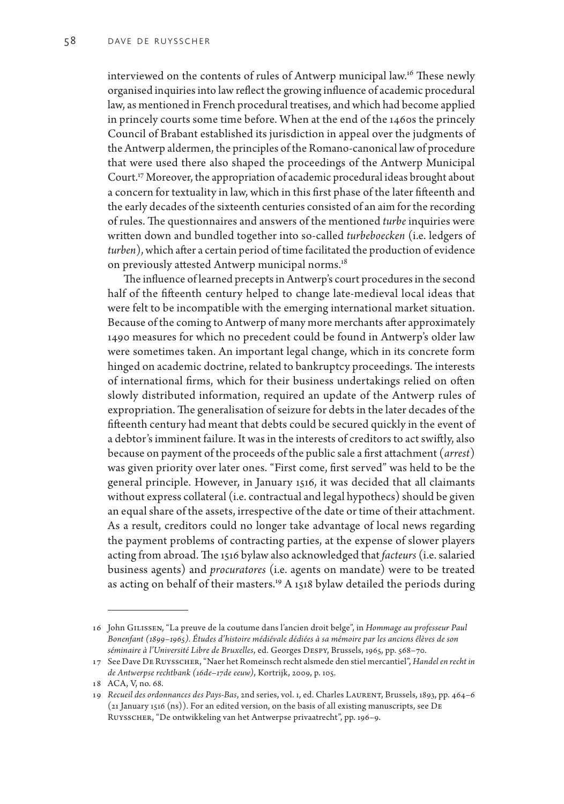interviewed on the contents of rules of Antwerp municipal law.<sup>16</sup> These newly organised inquiries into law reflect the growing influence of academic procedural law, as mentioned in French procedural treatises, and which had become applied in princely courts some time before. When at the end of the 1460s the princely Council of Brabant established its jurisdiction in appeal over the judgments of the Antwerp aldermen, the principles of the Romano-canonical law of procedure that were used there also shaped the proceedings of the Antwerp Municipal Court.17 Moreover, the appropriation of academic procedural ideas brought about a concern for textuality in law, which in this first phase of the later fifteenth and the early decades of the sixteenth centuries consisted of an aim for the recording of rules. The questionnaires and answers of the mentioned *turbe* inquiries were written down and bundled together into so-called *turbeboecken* (i.e. ledgers of *turben*), which after a certain period of time facilitated the production of evidence on previously attested Antwerp municipal norms.<sup>18</sup>

The influence of learned precepts in Antwerp's court procedures in the second half of the fifteenth century helped to change late-medieval local ideas that were felt to be incompatible with the emerging international market situation. Because of the coming to Antwerp of many more merchants after approximately 1490 measures for which no precedent could be found in Antwerp's older law were sometimes taken. An important legal change, which in its concrete form hinged on academic doctrine, related to bankruptcy proceedings. The interests of international firms, which for their business undertakings relied on often slowly distributed information, required an update of the Antwerp rules of expropriation. The generalisation of seizure for debts in the later decades of the fifteenth century had meant that debts could be secured quickly in the event of a debtor's imminent failure. It was in the interests of creditors to act swiftly, also because on payment of the proceeds of the public sale a first attachment (*arrest*) was given priority over later ones. "First come, first served" was held to be the general principle. However, in January 1516, it was decided that all claimants without express collateral (i.e. contractual and legal hypothecs) should be given an equal share of the assets, irrespective of the date or time of their attachment. As a result, creditors could no longer take advantage of local news regarding the payment problems of contracting parties, at the expense of slower players acting from abroad. The 1516 bylaw also acknowledged that *facteurs* (i.e. salaried business agents) and *procuratores* (i.e. agents on mandate) were to be treated as acting on behalf of their masters.<sup>19</sup> A 1518 bylaw detailed the periods during

<sup>16</sup> John Gilissen, "La preuve de la coutume dans l'ancien droit belge", in *Hommage au professeur Paul Bonenfant (1899–1965). Études d'histoire médiévale dédiées à sa mémoire par les anciens élèves de son séminaire à l'Université Libre de Bruxelles*, ed. Georges Despy, Brussels, 1965, pp. 568–70.

<sup>17</sup> See Dave De Ruysscher, "Naer het Romeinsch recht alsmede den stiel mercantiel", *Handel en recht in de Antwerpse rechtbank (16de*–*17de eeuw)*, Kortrijk, 2009, p. 105.

<sup>18</sup> ACA, V, no. 68.

<sup>19</sup> *Recueil des ordonnances des Pays-Bas*, 2nd series, vol. 1, ed. Charles Laurent, Brussels, 1893, pp. 464–6 (21 January 1516 (ns)). For an edited version, on the basis of all existing manuscripts, see De Ruysscher, "De ontwikkeling van het Antwerpse privaatrecht", pp. 196–9.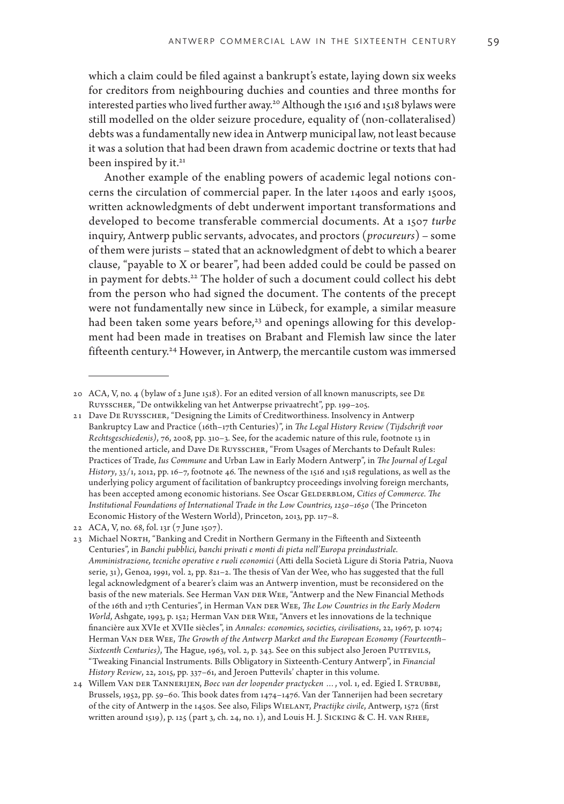which a claim could be filed against a bankrupt's estate, laying down six weeks for creditors from neighbouring duchies and counties and three months for interested parties who lived further away.20 Although the 1516 and 1518 bylaws were still modelled on the older seizure procedure, equality of (non-collateralised) debts was a fundamentally new idea in Antwerp municipal law, not least because it was a solution that had been drawn from academic doctrine or texts that had been inspired by it.<sup>21</sup>

Another example of the enabling powers of academic legal notions concerns the circulation of commercial paper. In the later 1400s and early 1500s, written acknowledgments of debt underwent important transformations and developed to become transferable commercial documents. At a 1507 *turbe* inquiry, Antwerp public servants, advocates, and proctors (*procureurs*) – some of them were jurists – stated that an acknowledgment of debt to which a bearer clause, "payable to X or bearer", had been added could be could be passed on in payment for debts.<sup>22</sup> The holder of such a document could collect his debt from the person who had signed the document. The contents of the precept were not fundamentally new since in Lübeck, for example, a similar measure had been taken some years before,<sup>23</sup> and openings allowing for this development had been made in treatises on Brabant and Flemish law since the later fifteenth century.24 However, in Antwerp, the mercantile custom was immersed

<sup>20</sup> ACA, V, no. 4 (bylaw of 2 June 1518). For an edited version of all known manuscripts, see De Ruysscher, "De ontwikkeling van het Antwerpse privaatrecht", pp. 199–205.

<sup>21</sup> Dave De Ruysscher, "Designing the Limits of Creditworthiness. Insolvency in Antwerp Bankruptcy Law and Practice (16th–17th Centuries)", in *The Legal History Review (Tijdschrift voor Rechtsgeschiedenis)*, 76, 2008, pp. 310–3. See, for the academic nature of this rule, footnote 13 in the mentioned article, and Dave De Ruysscher, "From Usages of Merchants to Default Rules: Practices of Trade, *Ius Commune* and Urban Law in Early Modern Antwerp", in *The Journal of Legal History*, 33/1, 2012, pp. 16–7, footnote 46. The newness of the 1516 and 1518 regulations, as well as the underlying policy argument of facilitation of bankruptcy proceedings involving foreign merchants, has been accepted among economic historians. See Oscar GELDERBLOM, Cities of Commerce. The *Institutional Foundations of International Trade in the Low Countries, 1250–1650* (The Princeton Economic History of the Western World), Princeton, 2013, pp. 117–8.

<sup>22</sup> ACA, V, no. 68, fol. 13r (7 June 1507).

<sup>23</sup> Michael NORTH, "Banking and Credit in Northern Germany in the Fifteenth and Sixteenth Centuries", in *Banchi pubblici, banchi privati e monti di pieta nell'Europa preindustriale. Amministrazione, tecniche operative e ruoli economici* (Atti della Società Ligure di Storia Patria, Nuova serie, 31), Genoa, 1991, vol. 2, pp. 821–2. The thesis of Van der Wee, who has suggested that the full legal acknowledgment of a bearer's claim was an Antwerp invention, must be reconsidered on the basis of the new materials. See Herman VAN DER WEE, "Antwerp and the New Financial Methods of the 16th and 17th Centuries", in Herman Van der Wee, *The Low Countries in the Early Modern World*, Ashgate, 1993, p. 152; Herman VAN DER WEE, "Anvers et les innovations de la technique financière aux XVIe et XVIIe siècles", in *Annales: economies, societies, civilisations*, 22, 1967, p. 1074; Herman VAN DER WEE, *The Growth of the Antwerp Market and the European Economy (Fourteenth–* Sixteenth Centuries), The Hague, 1963, vol. 2, p. 343. See on this subject also Jeroen PUTTEVILS, "Tweaking Financial Instruments. Bills Obligatory in Sixteenth-Century Antwerp", in *Financial History Review*, 22, 2015, pp. 337–61, and Jeroen Puttevils' chapter in this volume.

<sup>24</sup> Willem Van der Tannerijen, *Boec van der loopender practycken …*, vol. 1, ed. Egied I. Strubbe, Brussels, 1952, pp. 59–60. This book dates from 1474–1476. Van der Tannerijen had been secretary of the city of Antwerp in the 1450s. See also, Filips Wielant, *Practijke civile*, Antwerp, 1572 (first written around 1519), p. 125 (part 3, ch. 24, no. 1), and Louis H. J. Sicking & C. H. van Rhee,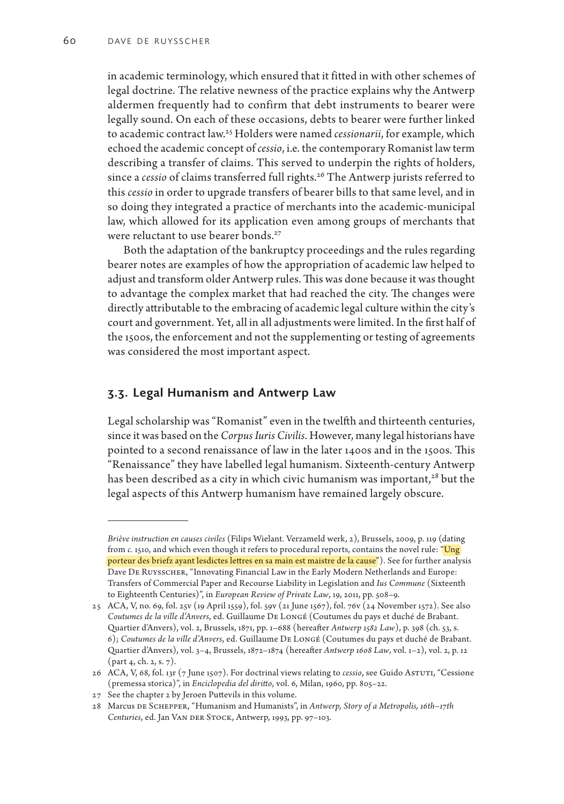in academic terminology, which ensured that it fitted in with other schemes of legal doctrine. The relative newness of the practice explains why the Antwerp aldermen frequently had to confirm that debt instruments to bearer were legally sound. On each of these occasions, debts to bearer were further linked to academic contract law.25 Holders were named *cessionarii*, for example, which echoed the academic concept of *cessio*, i.e. the contemporary Romanist law term describing a transfer of claims. This served to underpin the rights of holders, since a *cessio* of claims transferred full rights.<sup>26</sup> The Antwerp jurists referred to this *cessio* in order to upgrade transfers of bearer bills to that same level, and in so doing they integrated a practice of merchants into the academic-municipal law, which allowed for its application even among groups of merchants that were reluctant to use bearer bonds.<sup>27</sup>

Both the adaptation of the bankruptcy proceedings and the rules regarding bearer notes are examples of how the appropriation of academic law helped to adjust and transform older Antwerp rules. This was done because it was thought to advantage the complex market that had reached the city. The changes were directly attributable to the embracing of academic legal culture within the city's court and government. Yet, all in all adjustments were limited. In the first half of the 1500s, the enforcement and not the supplementing or testing of agreements was considered the most important aspect.

#### **3.3. Legal Humanism and Antwerp Law**

Legal scholarship was "Romanist" even in the twelfth and thirteenth centuries, since it was based on the *Corpus Iuris Civilis*. However, many legal historians have pointed to a second renaissance of law in the later 1400s and in the 1500s. This "Renaissance" they have labelled legal humanism. Sixteenth-century Antwerp has been described as a city in which civic humanism was important,<sup>28</sup> but the legal aspects of this Antwerp humanism have remained largely obscure.

*Briève instruction en causes civiles* (Filips Wielant. Verzameld werk, 2), Brussels, 2009, p. 119 (dating from *c.* 1510, and which even though it refers to procedural reports, contains the novel rule: "Ung porteur des briefz ayant lesdictes lettres en sa main est maistre de la cause"). See for further analysis Dave De Ruysscher, "Innovating Financial Law in the Early Modern Netherlands and Europe: Transfers of Commercial Paper and Recourse Liability in Legislation and *Ius Commune* (Sixteenth to Eighteenth Centuries)", in *European Review of Private Law*, 19, 2011, pp. 508–9.

<sup>25</sup> ACA, V, no. 69, fol. 25v (19 April 1559), fol. 59v (21 June 1567), fol. 76v (24 November 1572). See also *Coutumes de la ville d'Anvers*, ed. Guillaume De Longé (Coutumes du pays et duché de Brabant. Quartier d'Anvers), vol. 2, Brussels, 1871, pp. 1–688 (hereafter *Antwerp 1582 Law*), p. 398 (ch. 53, s. 6); *Coutumes de la ville d'Anvers*, ed. Guillaume De Longé (Coutumes du pays et duché de Brabant. Quartier d'Anvers), vol. 3–4, Brussels, 1872–1874 (hereafter *Antwerp 1608 Law*, vol. 1–2), vol. 2, p. 12 (part 4, ch. 2, s. 7).

<sup>26</sup> ACA, V, 68, fol. 13r (7 June 1507). For doctrinal views relating to *cessio*, see Guido Astuti, "Cessione (premessa storica)", in *Enciclopedia del diritto*, vol. 6, Milan, 1960, pp. 805–22.

<sup>27</sup> See the chapter 2 by Jeroen Puttevils in this volume.

<sup>28</sup> Marcus de Schepper, "Humanism and Humanists", in *Antwerp, Story of a Metropolis, 16th*–*17th Centuries*, ed. Jan Van der Stock, Antwerp, 1993, pp. 97–103.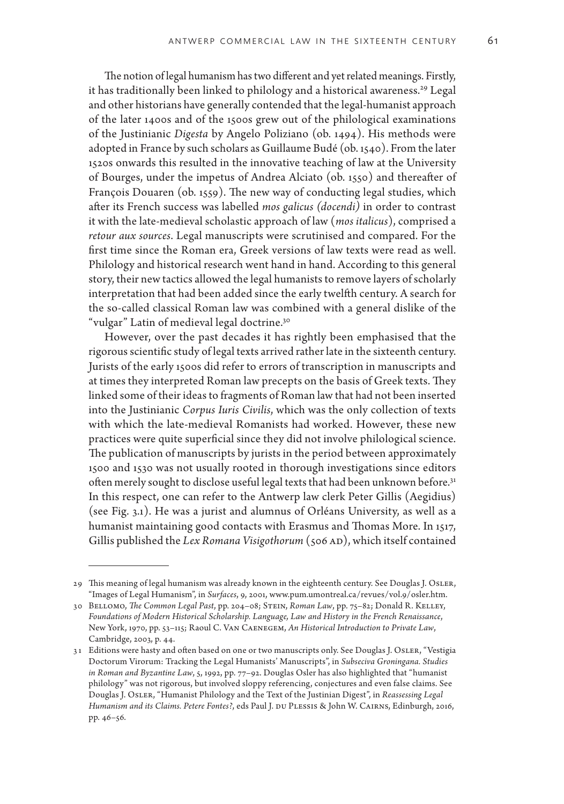The notion of legal humanism has two different and yet related meanings. Firstly, it has traditionally been linked to philology and a historical awareness.<sup>29</sup> Legal and other historians have generally contended that the legal-humanist approach of the later 1400s and of the 1500s grew out of the philological examinations of the Justinianic *Digesta* by Angelo Poliziano (ob. 1494). His methods were adopted in France by such scholars as Guillaume Budé (ob. 1540). From the later 1520s onwards this resulted in the innovative teaching of law at the University of Bourges, under the impetus of Andrea Alciato (ob. 1550) and thereafter of François Douaren (ob. 1559). The new way of conducting legal studies, which after its French success was labelled *mos galicus (docendi)* in order to contrast it with the late-medieval scholastic approach of law (*mos italicus*), comprised a *retour aux sources*. Legal manuscripts were scrutinised and compared. For the first time since the Roman era, Greek versions of law texts were read as well. Philology and historical research went hand in hand. According to this general story, their new tactics allowed the legal humanists to remove layers of scholarly interpretation that had been added since the early twelfth century. A search for the so-called classical Roman law was combined with a general dislike of the "vulgar" Latin of medieval legal doctrine.30

However, over the past decades it has rightly been emphasised that the rigorous scientific study of legal texts arrived rather late in the sixteenth century. Jurists of the early 1500s did refer to errors of transcription in manuscripts and at times they interpreted Roman law precepts on the basis of Greek texts. They linked some of their ideas to fragments of Roman law that had not been inserted into the Justinianic *Corpus Iuris Civilis*, which was the only collection of texts with which the late-medieval Romanists had worked. However, these new practices were quite superficial since they did not involve philological science. The publication of manuscripts by jurists in the period between approximately 1500 and 1530 was not usually rooted in thorough investigations since editors often merely sought to disclose useful legal texts that had been unknown before.<sup>31</sup> In this respect, one can refer to the Antwerp law clerk Peter Gillis (Aegidius) (see Fig. 3.1). He was a jurist and alumnus of Orléans University, as well as a humanist maintaining good contacts with Erasmus and Thomas More. In 1517, Gillis published the *Lex Romana Visigothorum* (506 AD), which itself contained

<sup>29</sup> This meaning of legal humanism was already known in the eighteenth century. See Douglas J. Osler, "Images of Legal Humanism", in *Surfaces*, 9, 2001, www.pum.umontreal.ca/revues/vol.9/osler.htm.

<sup>30</sup> Bellomo, *The Common Legal Past*, pp. 204–08; Stein, *Roman Law*, pp. 75–82; Donald R. Kelley, *Foundations of Modern Historical Scholarship. Language, Law and History in the French Renaissance*, New York, 1970, pp. 53–115; Raoul C. Van Caenegem, *An Historical Introduction to Private Law*, Cambridge, 2003, p. 44.

<sup>31</sup> Editions were hasty and often based on one or two manuscripts only. See Douglas J. Osler, "Vestigia Doctorum Virorum: Tracking the Legal Humanists' Manuscripts", in *Subseciva Groningana. Studies in Roman and Byzantine Law*, 5, 1992, pp. 77–92. Douglas Osler has also highlighted that "humanist philology" was not rigorous, but involved sloppy referencing, conjectures and even false claims. See Douglas J. Osler, "Humanist Philology and the Text of the Justinian Digest", in *Reassessing Legal Humanism and its Claims. Petere Fontes?*, eds Paul J. DU PLESSIS & John W. CAIRNS, Edinburgh, 2016, pp. 46–56.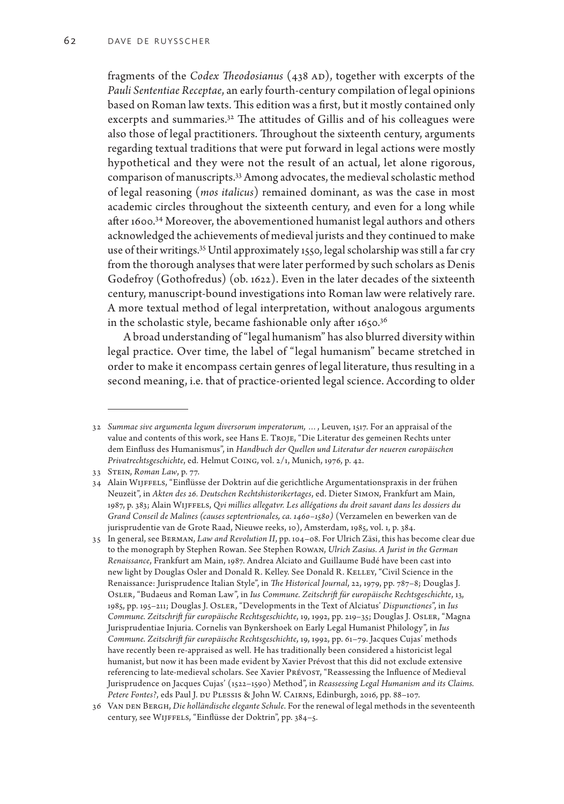fragments of the *Codex Theodosianus* (438 AD), together with excerpts of the *Pauli Sententiae Receptae*, an early fourth-century compilation of legal opinions based on Roman law texts. This edition was a first, but it mostly contained only excerpts and summaries.<sup>32</sup> The attitudes of Gillis and of his colleagues were also those of legal practitioners. Throughout the sixteenth century, arguments regarding textual traditions that were put forward in legal actions were mostly hypothetical and they were not the result of an actual, let alone rigorous, comparison of manuscripts.33 Among advocates, the medieval scholastic method of legal reasoning (*mos italicus*) remained dominant, as was the case in most academic circles throughout the sixteenth century, and even for a long while after 1600.34 Moreover, the abovementioned humanist legal authors and others acknowledged the achievements of medieval jurists and they continued to make use of their writings.35 Until approximately 1550, legal scholarship was still a far cry from the thorough analyses that were later performed by such scholars as Denis Godefroy (Gothofredus) (ob. 1622). Even in the later decades of the sixteenth century, manuscript-bound investigations into Roman law were relatively rare. A more textual method of legal interpretation, without analogous arguments in the scholastic style, became fashionable only after 1650.36

A broad understanding of "legal humanism" has also blurred diversity within legal practice. Over time, the label of "legal humanism" became stretched in order to make it encompass certain genres of legal literature, thus resulting in a second meaning, i.e. that of practice-oriented legal science. According to older

<sup>32</sup> *Summae sive argumenta legum diversorum imperatorum, …*, Leuven, 1517. For an appraisal of the value and contents of this work, see Hans E. Troje, "Die Literatur des gemeinen Rechts unter dem Einfluss des Humanismus", in *Handbuch der Quellen und Literatur der neueren europäischen Privatrechtsgeschichte*, ed. Helmut Coing, vol. 2/1, Munich, 1976, p. 42.

<sup>33</sup> Stein, *Roman Law*, p. 77.

<sup>34</sup> Alain Wijffels, "Einflüsse der Doktrin auf die gerichtliche Argumentationspraxis in der frühen Neuzeit", in *Akten des 26. Deutschen Rechtshistorikertages*, ed. Dieter Simon, Frankfurt am Main, 1987, p. 383; Alain Wijffels, *Qvi millies allegatvr. Les allégations du droit savant dans les dossiers du Grand Conseil de Malines (causes septentrionales, ca. 1460–1580)* (Verzamelen en bewerken van de jurisprudentie van de Grote Raad, Nieuwe reeks, 10), Amsterdam, 1985, vol. 1, p. 384.

<sup>35</sup> In general, see Berman, *Law and Revolution II*, pp. 104–08. For Ulrich Zäsi, this has become clear due to the monograph by Stephen Rowan. See Stephen Rowan, *Ulrich Zasius. A Jurist in the German Renaissance*, Frankfurt am Main, 1987. Andrea Alciato and Guillaume Budé have been cast into new light by Douglas Osler and Donald R. Kelley. See Donald R. Kelley, "Civil Science in the Renaissance: Jurisprudence Italian Style", in *The Historical Journal*, 22, 1979, pp. 787–8; Douglas J. Osler, "Budaeus and Roman Law", in *Ius Commune. Zeitschrift für europäische Rechtsgeschichte*, 13, 1985, pp. 195–211; Douglas J. Osler, "Developments in the Text of Alciatus' *Dispunctiones*", in *Ius Commune. Zeitschrift für europäische Rechtsgeschichte*, 19, 1992, pp. 219–35; Douglas J. Osler, "Magna Jurisprudentiae Injuria. Cornelis van Bynkershoek on Early Legal Humanist Philology", in *Ius Commune. Zeitschrift für europäische Rechtsgeschichte*, 19, 1992, pp. 61–79. Jacques Cujas' methods have recently been re-appraised as well. He has traditionally been considered a historicist legal humanist, but now it has been made evident by Xavier Prévost that this did not exclude extensive referencing to late-medieval scholars. See Xavier Prévost, "Reassessing the Influence of Medieval Jurisprudence on Jacques Cujas' (1522–1590) Method", in *Reassessing Legal Humanism and its Claims.*  Petere Fontes?, eds Paul J. DU PLESSIS & John W. CAIRNS, Edinburgh, 2016, pp. 88-107.

<sup>36</sup> Van den Bergh, *Die holländische elegante Schule*. For the renewal of legal methods in the seventeenth century, see Wijffels, "Einflüsse der Doktrin", pp. 384–5.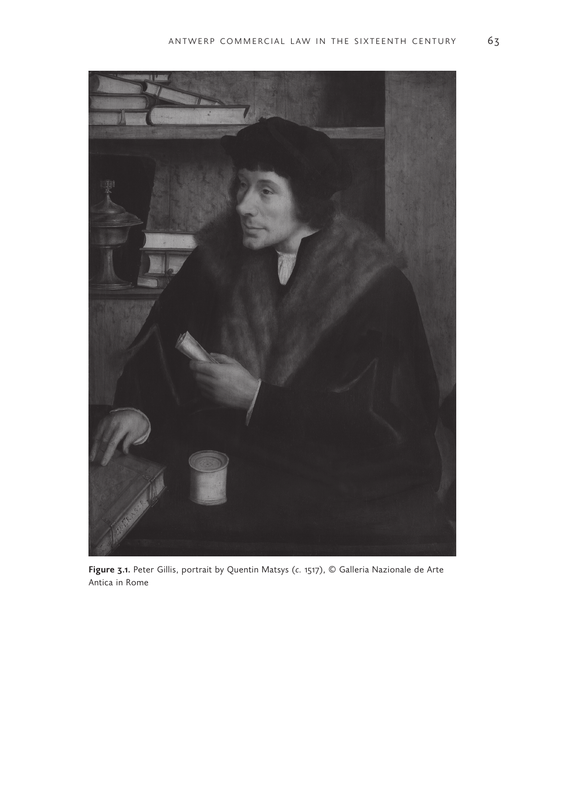

**Figure 3.1.** Peter Gillis, portrait by Quentin Matsys (*c.* 1517), © Galleria Nazionale de Arte Antica in Rome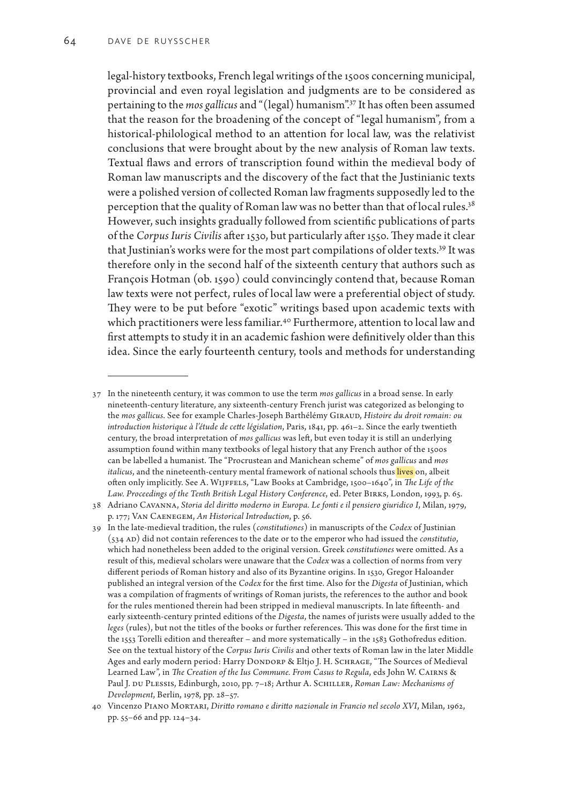legal-history textbooks, French legal writings of the 1500s concerning municipal, provincial and even royal legislation and judgments are to be considered as pertaining to the *mos gallicus* and "(legal) humanism".37 It has often been assumed that the reason for the broadening of the concept of "legal humanism", from a historical-philological method to an attention for local law, was the relativist conclusions that were brought about by the new analysis of Roman law texts. Textual flaws and errors of transcription found within the medieval body of Roman law manuscripts and the discovery of the fact that the Justinianic texts were a polished version of collected Roman law fragments supposedly led to the perception that the quality of Roman law was no better than that of local rules.<sup>38</sup> However, such insights gradually followed from scientific publications of parts of the *Corpus Iuris Civilis* after 1530, but particularly after 1550. They made it clear that Justinian's works were for the most part compilations of older texts.39 It was therefore only in the second half of the sixteenth century that authors such as François Hotman (ob. 1590) could convincingly contend that, because Roman law texts were not perfect, rules of local law were a preferential object of study. They were to be put before "exotic" writings based upon academic texts with which practitioners were less familiar.<sup>40</sup> Furthermore, attention to local law and first attempts to study it in an academic fashion were definitively older than this idea. Since the early fourteenth century, tools and methods for understanding

<sup>37</sup> In the nineteenth century, it was common to use the term *mos gallicus* in a broad sense. In early nineteenth-century literature, any sixteenth-century French jurist was categorized as belonging to the *mos gallicus*. See for example Charles-Joseph Barthélémy Giraud, *Histoire du droit romain: ou introduction historique à l'étude de cette législation*, Paris, 1841, pp. 461–2. Since the early twentieth century, the broad interpretation of *mos gallicus* was left, but even today it is still an underlying assumption found within many textbooks of legal history that any French author of the 1500s can be labelled a humanist. The "Procrustean and Manichean scheme" of *mos gallicus* and *mos italicus*, and the nineteenth-century mental framework of national schools thus lives on, albeit often only implicitly. See A. WIJFFELS, "Law Books at Cambridge, 1500-1640", in *The Life of the* Law. Proceedings of the Tenth British Legal History Conference, ed. Peter BIRKS, London, 1993, p. 65.

<sup>38</sup> Adriano Cavanna, *Storia del diritto moderno in Europa. Le fonti e il pensiero giuridico I*, Milan, 1979, p. 177; Van Caenegem, *An Historical Introduction*, p. 56.

<sup>39</sup> In the late-medieval tradition, the rules (*constitutiones*) in manuscripts of the *Codex* of Justinian (534 ad) did not contain references to the date or to the emperor who had issued the *constitutio*, which had nonetheless been added to the original version. Greek *constitutiones* were omitted. As a result of this, medieval scholars were unaware that the *Codex* was a collection of norms from very different periods of Roman history and also of its Byzantine origins. In 1530, Gregor Haloander published an integral version of the *Codex* for the first time. Also for the *Digesta* of Justinian, which was a compilation of fragments of writings of Roman jurists, the references to the author and book for the rules mentioned therein had been stripped in medieval manuscripts. In late fifteenth- and early sixteenth-century printed editions of the *Digesta*, the names of jurists were usually added to the *leges* (rules), but not the titles of the books or further references. This was done for the first time in the 1553 Torelli edition and thereafter – and more systematically – in the 1583 Gothofredus edition. See on the textual history of the *Corpus Iuris Civilis* and other texts of Roman law in the later Middle Ages and early modern period: Harry DONDORP & Eltjo J. H. SCHRAGE, "The Sources of Medieval Learned Law", in *The Creation of the Ius Commune. From Casus to Regula*, eds John W. CAIRNS & Paul J. du Plessis, Edinburgh, 2010, pp. 7–18; Arthur A. Schiller, *Roman Law: Mechanisms of Development*, Berlin, 1978, pp. 28–57.

<sup>40</sup> Vincenzo Piano Mortari, *Diritto romano e diritto nazionale in Francio nel secolo XVI*, Milan, 1962, pp. 55–66 and pp. 124–34.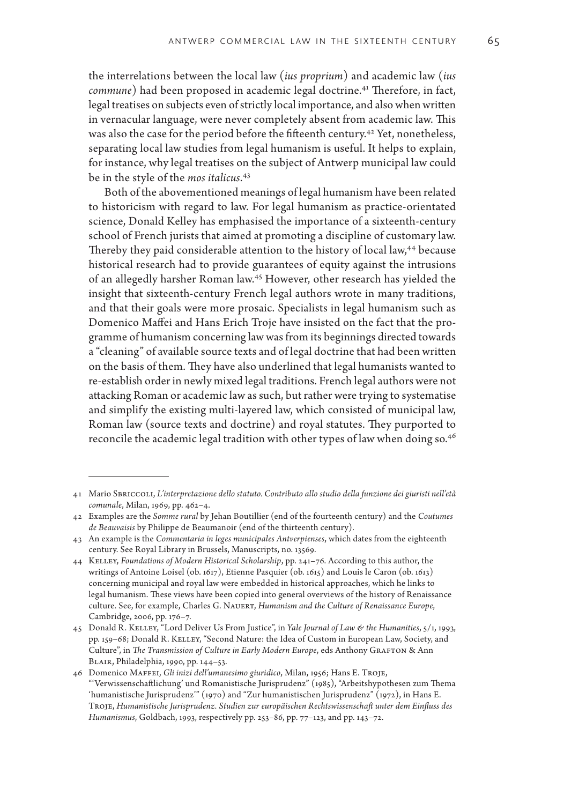the interrelations between the local law (*ius proprium*) and academic law (*ius commune*) had been proposed in academic legal doctrine.<sup>41</sup> Therefore, in fact, legal treatises on subjects even of strictly local importance, and also when written in vernacular language, were never completely absent from academic law. This was also the case for the period before the fifteenth century.<sup>42</sup> Yet, nonetheless, separating local law studies from legal humanism is useful. It helps to explain, for instance, why legal treatises on the subject of Antwerp municipal law could be in the style of the *mos italicus*. 43

Both of the abovementioned meanings of legal humanism have been related to historicism with regard to law. For legal humanism as practice-orientated science, Donald Kelley has emphasised the importance of a sixteenth-century school of French jurists that aimed at promoting a discipline of customary law. Thereby they paid considerable attention to the history of local law,<sup>44</sup> because historical research had to provide guarantees of equity against the intrusions of an allegedly harsher Roman law.45 However, other research has yielded the insight that sixteenth-century French legal authors wrote in many traditions, and that their goals were more prosaic. Specialists in legal humanism such as Domenico Maffei and Hans Erich Troje have insisted on the fact that the programme of humanism concerning law was from its beginnings directed towards a "cleaning" of available source texts and of legal doctrine that had been written on the basis of them. They have also underlined that legal humanists wanted to re-establish order in newly mixed legal traditions. French legal authors were not attacking Roman or academic law as such, but rather were trying to systematise and simplify the existing multi-layered law, which consisted of municipal law, Roman law (source texts and doctrine) and royal statutes. They purported to reconcile the academic legal tradition with other types of law when doing so.<sup>46</sup>

<sup>41</sup> Mario Sbriccoli, *L'interpretazione dello statuto. Contributo allo studio della funzione dei giuristi nell'età comunale*, Milan, 1969, pp. 462–4.

<sup>42</sup> Examples are the *Somme rural* by Jehan Boutillier (end of the fourteenth century) and the *Coutumes de Beauvaisis* by Philippe de Beaumanoir (end of the thirteenth century).

<sup>43</sup> An example is the *Commentaria in leges municipales Antverpienses*, which dates from the eighteenth century. See Royal Library in Brussels, Manuscripts, no. 13569.

<sup>44</sup> Kelley, *Foundations of Modern Historical Scholarship*, pp. 241–76. According to this author, the writings of Antoine Loisel (ob. 1617), Etienne Pasquier (ob. 1615) and Louis le Caron (ob. 1613) concerning municipal and royal law were embedded in historical approaches, which he links to legal humanism. These views have been copied into general overviews of the history of Renaissance culture. See, for example, Charles G. Nauert, *Humanism and the Culture of Renaissance Europe*, Cambridge, 2006, pp. 176–7.

<sup>45</sup> Donald R. Kelley, "Lord Deliver Us From Justice", in *Yale Journal of Law & the Humanities*, 5/1, 1993, pp. 159–68; Donald R. Kelley, "Second Nature: the Idea of Custom in European Law, Society, and Culture", in *The Transmission of Culture in Early Modern Europe*, eds Anthony GRAFTON & Ann Blair, Philadelphia, 1990, pp. 144–53.

<sup>46</sup> Domenico Maffei, *Gli inizi dell'umanesimo giuridico*, Milan, 1956; Hans E. Troje, "'Verwissenschaftlichung' und Romanistische Jurisprudenz" (1985), "Arbeitshypothesen zum Thema 'humanistische Jurisprudenz'" (1970) and "Zur humanistischen Jurisprudenz" (1972), in Hans E. Troje, *Humanistische Jurisprudenz. Studien zur europäischen Rechtswissenschaft unter dem Einfluss des Humanismus*, Goldbach, 1993, respectively pp. 253–86, pp. 77–123, and pp. 143–72.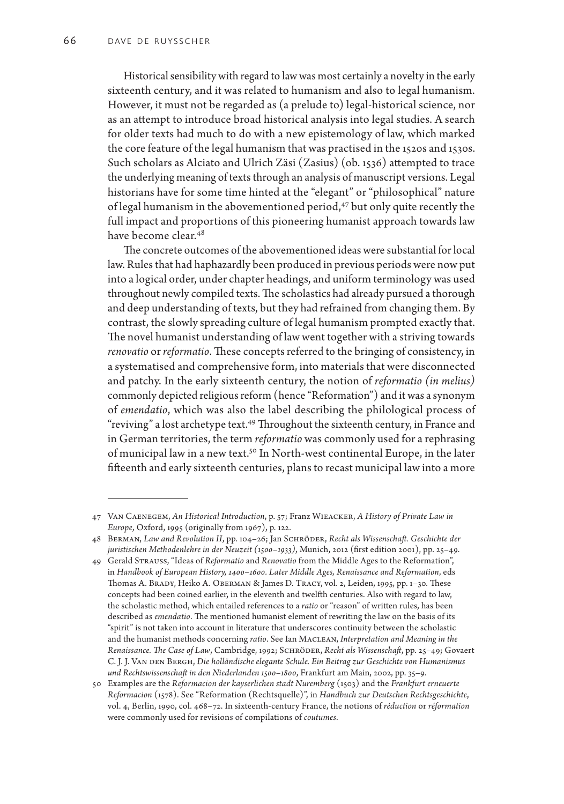Historical sensibility with regard to law was most certainly a novelty in the early sixteenth century, and it was related to humanism and also to legal humanism. However, it must not be regarded as (a prelude to) legal-historical science, nor as an attempt to introduce broad historical analysis into legal studies. A search for older texts had much to do with a new epistemology of law, which marked the core feature of the legal humanism that was practised in the 1520s and 1530s. Such scholars as Alciato and Ulrich Zäsi (Zasius) (ob. 1536) attempted to trace the underlying meaning of texts through an analysis of manuscript versions. Legal historians have for some time hinted at the "elegant" or "philosophical" nature of legal humanism in the abovementioned period,<sup>47</sup> but only quite recently the full impact and proportions of this pioneering humanist approach towards law have become clear.<sup>48</sup>

The concrete outcomes of the abovementioned ideas were substantial for local law. Rules that had haphazardly been produced in previous periods were now put into a logical order, under chapter headings, and uniform terminology was used throughout newly compiled texts. The scholastics had already pursued a thorough and deep understanding of texts, but they had refrained from changing them. By contrast, the slowly spreading culture of legal humanism prompted exactly that. The novel humanist understanding of law went together with a striving towards *renovatio* or *reformatio*. These concepts referred to the bringing of consistency, in a systematised and comprehensive form, into materials that were disconnected and patchy. In the early sixteenth century, the notion of *reformatio (in melius)* commonly depicted religious reform (hence "Reformation") and it was a synonym of *emendatio*, which was also the label describing the philological process of "reviving" a lost archetype text.<sup>49</sup> Throughout the sixteenth century, in France and in German territories, the term *reformatio* was commonly used for a rephrasing of municipal law in a new text.50 In North-west continental Europe, in the later fifteenth and early sixteenth centuries, plans to recast municipal law into a more

<sup>47</sup> Van Caenegem, *An Historical Introduction*, p. 57; Franz Wieacker, *A History of Private Law in Europe*, Oxford, 1995 (originally from 1967), p. 122.

<sup>48</sup> Berman, *Law and Revolution II*, pp. 104–26; Jan Schröder, *Recht als Wissenschaft. Geschichte der juristischen Methodenlehre in der Neuzeit (1500–1933)*, Munich, 2012 (first edition 2001), pp. 25–49.

<sup>49</sup> Gerald Strauss, "Ideas of *Reformatio* and *Renovatio* from the Middle Ages to the Reformation", in *Handbook of European History, 1400–1600. Later Middle Ages, Renaissance and Reformation*, eds Thomas A. Brady, Heiko A. Oberman & James D. Tracy, vol. 2, Leiden, 1995, pp. 1–30. These concepts had been coined earlier, in the eleventh and twelfth centuries. Also with regard to law, the scholastic method, which entailed references to a *ratio* or "reason" of written rules, has been described as *emendatio*. The mentioned humanist element of rewriting the law on the basis of its "spirit" is not taken into account in literature that underscores continuity between the scholastic and the humanist methods concerning *ratio*. See Ian Maclean, *Interpretation and Meaning in the Renaissance. The Case of Law*, Cambridge, 1992; Schröder, *Recht als Wissenschaft*, pp. 25–49; Govaert C. J. J. Van DEN BERGH, *Die holländische elegante Schule. Ein Beitrag zur Geschichte von Humanismus und Rechtswissenschaft in den Niederlanden 1500–1800*, Frankfurt am Main, 2002, pp. 35–9.

<sup>50</sup> Examples are the *Reformacion der kayserlichen stadt Nuremberg* (1503) and the *Frankfurt erneuerte Reformacion* (1578). See "Reformation (Rechtsquelle)", in *Handbuch zur Deutschen Rechtsgeschichte*, vol. 4, Berlin, 1990, col. 468–72. In sixteenth-century France, the notions of *réduction* or *réformation* were commonly used for revisions of compilations of *coutumes*.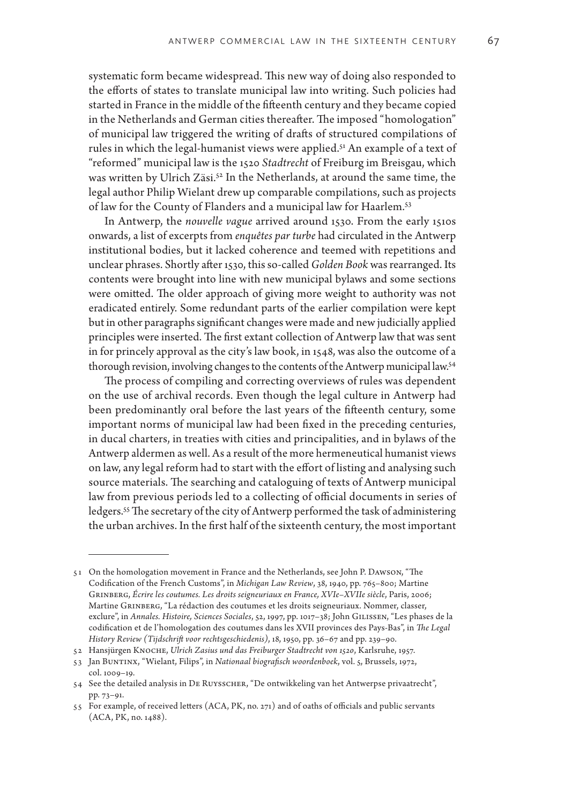systematic form became widespread. This new way of doing also responded to the efforts of states to translate municipal law into writing. Such policies had started in France in the middle of the fifteenth century and they became copied in the Netherlands and German cities thereafter. The imposed "homologation" of municipal law triggered the writing of drafts of structured compilations of rules in which the legal-humanist views were applied.<sup>51</sup> An example of a text of "reformed" municipal law is the 1520 *Stadtrecht* of Freiburg im Breisgau, which was written by Ulrich Zäsi.<sup>52</sup> In the Netherlands, at around the same time, the legal author Philip Wielant drew up comparable compilations, such as projects of law for the County of Flanders and a municipal law for Haarlem.53

In Antwerp, the *nouvelle vague* arrived around 1530. From the early 1510s onwards, a list of excerpts from *enquêtes par turbe* had circulated in the Antwerp institutional bodies, but it lacked coherence and teemed with repetitions and unclear phrases. Shortly after 1530, this so-called *Golden Book* was rearranged. Its contents were brought into line with new municipal bylaws and some sections were omitted. The older approach of giving more weight to authority was not eradicated entirely. Some redundant parts of the earlier compilation were kept but in other paragraphs significant changes were made and new judicially applied principles were inserted. The first extant collection of Antwerp law that was sent in for princely approval as the city's law book, in 1548, was also the outcome of a thorough revision, involving changes to the contents of the Antwerp municipal law.54

The process of compiling and correcting overviews of rules was dependent on the use of archival records. Even though the legal culture in Antwerp had been predominantly oral before the last years of the fifteenth century, some important norms of municipal law had been fixed in the preceding centuries, in ducal charters, in treaties with cities and principalities, and in bylaws of the Antwerp aldermen as well. As a result of the more hermeneutical humanist views on law, any legal reform had to start with the effort of listing and analysing such source materials. The searching and cataloguing of texts of Antwerp municipal law from previous periods led to a collecting of official documents in series of ledgers.55 The secretary of the city of Antwerp performed the task of administering the urban archives. In the first half of the sixteenth century, the most important

<sup>51</sup> On the homologation movement in France and the Netherlands, see John P. Dawson, "The Codification of the French Customs", in *Michigan Law Review*, 38, 1940, pp. 765–800; Martine Grinberg, *Écrire les coutumes. Les droits seigneuriaux en France, XVIe–XVIIe siècle*, Paris, 2006; Martine Grinberg, "La rédaction des coutumes et les droits seigneuriaux. Nommer, classer, exclure", in *Annales. Histoire, Sciences Sociales*, 52, 1997, pp. 1017–38; John Gilissen, "Les phases de la codification et de l'homologation des coutumes dans les XVII provinces des Pays-Bas", in *The Legal History Review (Tijdschrift voor rechtsgeschiedenis)*, 18, 1950, pp. 36–67 and pp. 239–90.

<sup>52</sup> Hansjürgen Knoche, *Ulrich Zasius und das Freiburger Stadtrecht von 1520*, Karlsruhe, 1957.

<sup>53</sup> Jan Buntinx, "Wielant, Filips", in *Nationaal biografisch woordenboek*, vol. 5, Brussels, 1972, col. 1009–19.

<sup>54</sup> See the detailed analysis in De Ruysscher, "De ontwikkeling van het Antwerpse privaatrecht", pp. 73–91.

<sup>55</sup> For example, of received letters (ACA, PK, no. 271) and of oaths of officials and public servants (ACA, PK, no. 1488).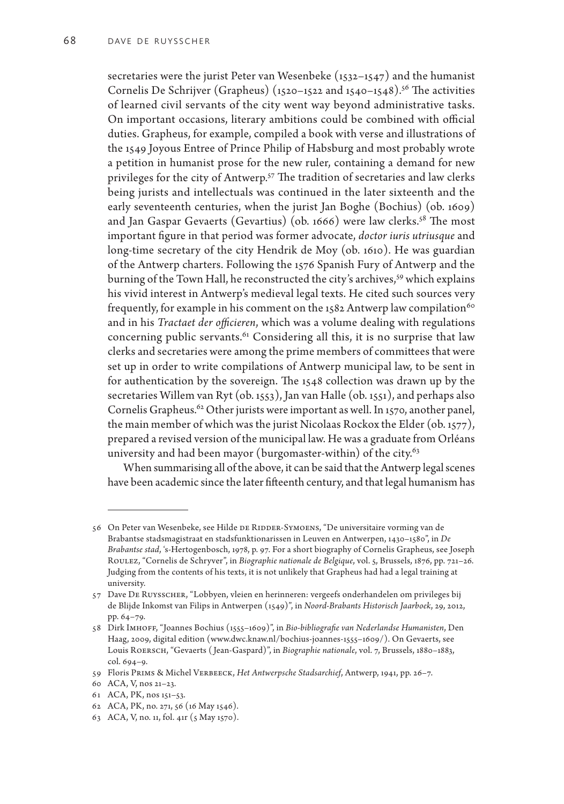secretaries were the jurist Peter van Wesenbeke  $(1532-1547)$  and the humanist Cornelis De Schrijver (Grapheus)  $(1520-1522$  and  $1540-1548)$ .<sup>56</sup> The activities of learned civil servants of the city went way beyond administrative tasks. On important occasions, literary ambitions could be combined with official duties. Grapheus, for example, compiled a book with verse and illustrations of the 1549 Joyous Entree of Prince Philip of Habsburg and most probably wrote a petition in humanist prose for the new ruler, containing a demand for new privileges for the city of Antwerp.<sup>57</sup> The tradition of secretaries and law clerks being jurists and intellectuals was continued in the later sixteenth and the early seventeenth centuries, when the jurist Jan Boghe (Bochius) (ob. 1609) and Jan Gaspar Gevaerts (Gevartius) (ob. 1666) were law clerks.<sup>58</sup> The most important figure in that period was former advocate, *doctor iuris utriusque* and long-time secretary of the city Hendrik de Moy (ob. 1610). He was guardian of the Antwerp charters. Following the 1576 Spanish Fury of Antwerp and the burning of the Town Hall, he reconstructed the city's archives,<sup>59</sup> which explains his vivid interest in Antwerp's medieval legal texts. He cited such sources very frequently, for example in his comment on the 1582 Antwerp law compilation<sup>60</sup> and in his *Tractaet der officieren*, which was a volume dealing with regulations concerning public servants.<sup>61</sup> Considering all this, it is no surprise that law clerks and secretaries were among the prime members of committees that were set up in order to write compilations of Antwerp municipal law, to be sent in for authentication by the sovereign. The 1548 collection was drawn up by the secretaries Willem van Ryt (ob. 1553), Jan van Halle (ob. 1551), and perhaps also Cornelis Grapheus.<sup>62</sup> Other jurists were important as well. In 1570, another panel, the main member of which was the jurist Nicolaas Rockox the Elder (ob. 1577), prepared a revised version of the municipal law. He was a graduate from Orléans university and had been mayor (burgomaster-within) of the city. $63$ 

When summarising all of the above, it can be said that the Antwerp legal scenes have been academic since the later fifteenth century, and that legal humanism has

<sup>56</sup> On Peter van Wesenbeke, see Hilde DE RIDDER-SYMOENS, "De universitaire vorming van de Brabantse stadsmagistraat en stadsfunktionarissen in Leuven en Antwerpen, 1430–1580", in *De Brabantse stad*, 's-Hertogenbosch, 1978, p. 97. For a short biography of Cornelis Grapheus, see Joseph Roulez, "Cornelis de Schryver", in *Biographie nationale de Belgique*, vol. 5, Brussels, 1876, pp. 721–26. Judging from the contents of his texts, it is not unlikely that Grapheus had had a legal training at university.

<sup>57</sup> Dave De Ruysscher, "Lobbyen, vleien en herinneren: vergeefs onderhandelen om privileges bij de Blijde Inkomst van Filips in Antwerpen (1549)", in *Noord-Brabants Historisch Jaarboek*, 29, 2012, pp. 64–79.

<sup>58</sup> Dirk Imhoff, "Joannes Bochius (1555–1609)", in *Bio-bibliografie van Nederlandse Humanisten*, Den Haag, 2009, digital edition (www.dwc.knaw.nl/bochius-joannes-1555–1609/). On Gevaerts, see Louis Roersch, "Gevaerts ( Jean-Gaspard)", in *Biographie nationale*, vol. 7, Brussels, 1880–1883, col. 694–9.

<sup>59</sup> Floris Prims & Michel Verbeeck, *Het Antwerpsche Stadsarchief*, Antwerp, 1941, pp. 26–7.

<sup>60</sup> ACA, V, nos 21–23.

<sup>61</sup> ACA, PK, nos 151–53.

<sup>62</sup> ACA, PK, no. 271, 56 (16 May 1546).

<sup>63</sup> ACA, V, no. 11, fol. 41r (5 May 1570).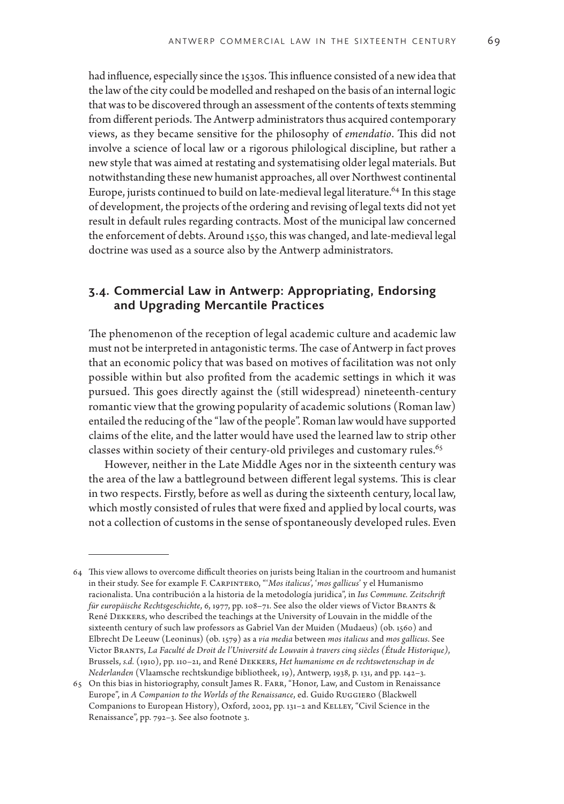had influence, especially since the 1530s. This influence consisted of a new idea that the law of the city could be modelled and reshaped on the basis of an internal logic that was to be discovered through an assessment of the contents of texts stemming from different periods. The Antwerp administrators thus acquired contemporary views, as they became sensitive for the philosophy of *emendatio*. This did not involve a science of local law or a rigorous philological discipline, but rather a new style that was aimed at restating and systematising older legal materials. But notwithstanding these new humanist approaches, all over Northwest continental Europe, jurists continued to build on late-medieval legal literature.<sup>64</sup> In this stage of development, the projects of the ordering and revising of legal texts did not yet result in default rules regarding contracts. Most of the municipal law concerned the enforcement of debts. Around 1550, this was changed, and late-medieval legal doctrine was used as a source also by the Antwerp administrators.

# **3.4. Commercial Law in Antwerp: Appropriating, Endorsing and Upgrading Mercantile Practices**

The phenomenon of the reception of legal academic culture and academic law must not be interpreted in antagonistic terms. The case of Antwerp in fact proves that an economic policy that was based on motives of facilitation was not only possible within but also profited from the academic settings in which it was pursued. This goes directly against the (still widespread) nineteenth-century romantic view that the growing popularity of academic solutions (Roman law) entailed the reducing of the "law of the people". Roman law would have supported claims of the elite, and the latter would have used the learned law to strip other classes within society of their century-old privileges and customary rules.<sup>65</sup>

However, neither in the Late Middle Ages nor in the sixteenth century was the area of the law a battleground between different legal systems. This is clear in two respects. Firstly, before as well as during the sixteenth century, local law, which mostly consisted of rules that were fixed and applied by local courts, was not a collection of customs in the sense of spontaneously developed rules. Even

<sup>64</sup> This view allows to overcome difficult theories on jurists being Italian in the courtroom and humanist in their study. See for example F. Carpintero, "'*Mos italicus*', '*mos gallicus*' y el Humanismo racionalista. Una contribución a la historia de la metodología juridica", in *Ius Commune. Zeitschrift für europäische Rechtsgeschichte*, 6, 1977, pp. 108–71. See also the older views of Victor Brants & René Dekkers, who described the teachings at the University of Louvain in the middle of the sixteenth century of such law professors as Gabriel Van der Muiden (Mudaeus) (ob. 1560) and Elbrecht De Leeuw (Leoninus) (ob. 1579) as a *via media* between *mos italicus* and *mos gallicus*. See Victor Brants, *La Faculté de Droit de l'Université de Louvain à travers cinq siècles (Étude Historique)*, Brussels, *s.d.* (1910), pp. 110–21, and René Dekkers, *Het humanisme en de rechtswetenschap in de Nederlanden* (Vlaamsche rechtskundige bibliotheek, 19), Antwerp, 1938, p. 131, and pp. 142–3.

<sup>65</sup> On this bias in historiography, consult James R. Farr, "Honor, Law, and Custom in Renaissance Europe", in *A Companion to the Worlds of the Renaissance*, ed. Guido Ruggiero (Blackwell Companions to European History), Oxford, 2002, pp. 131-2 and KELLEY, "Civil Science in the Renaissance", pp. 792–3. See also footnote 3.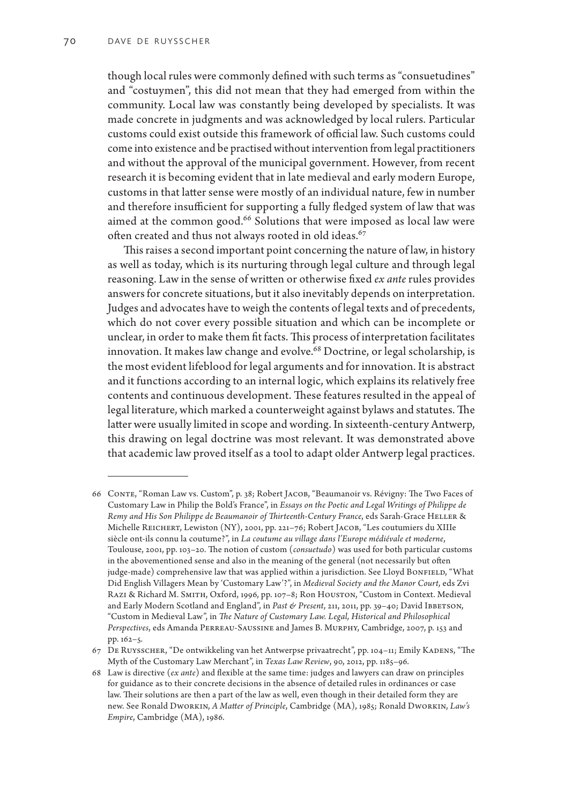though local rules were commonly defined with such terms as "consuetudines" and "costuymen", this did not mean that they had emerged from within the community. Local law was constantly being developed by specialists. It was made concrete in judgments and was acknowledged by local rulers. Particular customs could exist outside this framework of official law. Such customs could come into existence and be practised without intervention from legal practitioners and without the approval of the municipal government. However, from recent research it is becoming evident that in late medieval and early modern Europe, customs in that latter sense were mostly of an individual nature, few in number and therefore insufficient for supporting a fully fledged system of law that was aimed at the common good.<sup>66</sup> Solutions that were imposed as local law were often created and thus not always rooted in old ideas.<sup>67</sup>

This raises a second important point concerning the nature of law, in history as well as today, which is its nurturing through legal culture and through legal reasoning. Law in the sense of written or otherwise fixed *ex ante* rules provides answers for concrete situations, but it also inevitably depends on interpretation. Judges and advocates have to weigh the contents of legal texts and of precedents, which do not cover every possible situation and which can be incomplete or unclear, in order to make them fit facts. This process of interpretation facilitates innovation. It makes law change and evolve.<sup>68</sup> Doctrine, or legal scholarship, is the most evident lifeblood for legal arguments and for innovation. It is abstract and it functions according to an internal logic, which explains its relatively free contents and continuous development. These features resulted in the appeal of legal literature, which marked a counterweight against bylaws and statutes. The latter were usually limited in scope and wording. In sixteenth-century Antwerp, this drawing on legal doctrine was most relevant. It was demonstrated above that academic law proved itself as a tool to adapt older Antwerp legal practices.

<sup>66</sup> Conte, "Roman Law vs. Custom", p. 38; Robert Jacob, "Beaumanoir vs. Révigny: The Two Faces of Customary Law in Philip the Bold's France", in *Essays on the Poetic and Legal Writings of Philippe de Remy and His Son Philippe de Beaumanoir of Thirteenth-Century France, eds Sarah-Grace HELLER &* Michelle Reichert, Lewiston (NY), 2001, pp. 221–76; Robert Jacob, "Les coutumiers du XIIIe siècle ont-ils connu la coutume?", in *La coutume au village dans l'Europe médiévale et moderne*, Toulouse, 2001, pp. 103–20. The notion of custom (*consuetudo*) was used for both particular customs in the abovementioned sense and also in the meaning of the general (not necessarily but often judge-made) comprehensive law that was applied within a jurisdiction. See Lloyd BONFIELD, "What Did English Villagers Mean by 'Customary Law'?", in *Medieval Society and the Manor Court*, eds Zvi Razı & Richard M. SMITH, Oxford, 1996, pp. 107-8; Ron Houston, "Custom in Context. Medieval and Early Modern Scotland and England", in *Past & Present*, 211, 2011, pp. 39-40; David IBBETSON, "Custom in Medieval Law", in *The Nature of Customary Law. Legal, Historical and Philosophical Perspectives*, eds Amanda Perreau-Saussine and James B. Murphy, Cambridge, 2007, p. 153 and pp. 162–5.

<sup>67</sup> De Ruysscher, "De ontwikkeling van het Antwerpse privaatrecht", pp. 104–11; Emily Kadens, "The Myth of the Customary Law Merchant", in *Texas Law Review*, 90, 2012, pp. 1185–96.

<sup>68</sup> Law is directive (*ex ante*) and flexible at the same time: judges and lawyers can draw on principles for guidance as to their concrete decisions in the absence of detailed rules in ordinances or case law. Their solutions are then a part of the law as well, even though in their detailed form they are new. See Ronald Dworkin, *A Matter of Principle*, Cambridge (MA), 1985; Ronald Dworkin, *Law's Empire*, Cambridge (MA), 1986.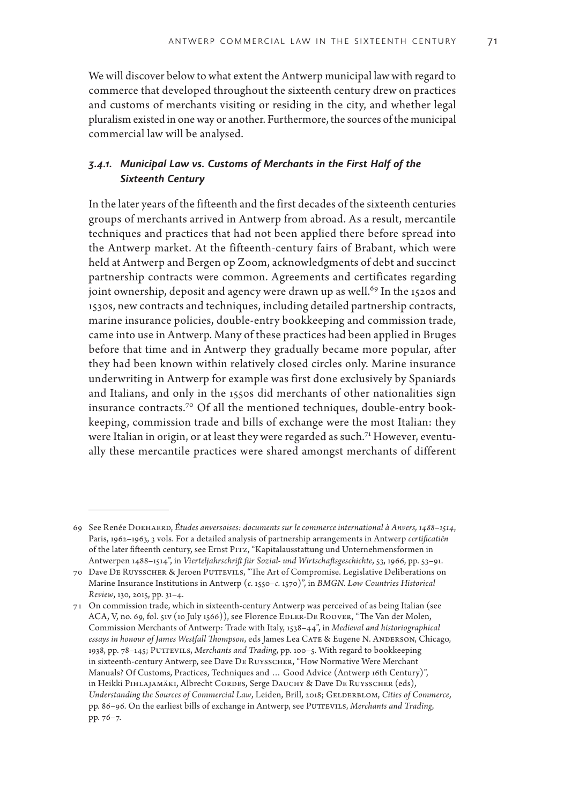We will discover below to what extent the Antwerp municipal law with regard to commerce that developed throughout the sixteenth century drew on practices and customs of merchants visiting or residing in the city, and whether legal pluralism existed in one way or another. Furthermore, the sources of the municipal commercial law will be analysed.

## *3.4.1. Municipal Law vs. Customs of Merchants in the First Half of the Sixteenth Century*

In the later years of the fifteenth and the first decades of the sixteenth centuries groups of merchants arrived in Antwerp from abroad. As a result, mercantile techniques and practices that had not been applied there before spread into the Antwerp market. At the fifteenth-century fairs of Brabant, which were held at Antwerp and Bergen op Zoom, acknowledgments of debt and succinct partnership contracts were common. Agreements and certificates regarding joint ownership, deposit and agency were drawn up as well.<sup>69</sup> In the 1520s and 1530s, new contracts and techniques, including detailed partnership contracts, marine insurance policies, double-entry bookkeeping and commission trade, came into use in Antwerp. Many of these practices had been applied in Bruges before that time and in Antwerp they gradually became more popular, after they had been known within relatively closed circles only. Marine insurance underwriting in Antwerp for example was first done exclusively by Spaniards and Italians, and only in the 1550s did merchants of other nationalities sign insurance contracts.70 Of all the mentioned techniques, double-entry bookkeeping, commission trade and bills of exchange were the most Italian: they were Italian in origin, or at least they were regarded as such.<sup>71</sup> However, eventually these mercantile practices were shared amongst merchants of different

<sup>69</sup> See Renée Doehaerd, *Études anversoises: documents sur le commerce international à Anvers, 1488–1514*, Paris, 1962–1963, 3 vols. For a detailed analysis of partnership arrangements in Antwerp *certificatiën* of the later fifteenth century, see Ernst Pitz, "Kapitalausstattung und Unternehmensformen in Antwerpen 1488–1514", in *Vierteljahrschrift für Sozial- und Wirtschaftsgeschichte*, 53, 1966, pp. 53–91.

<sup>70</sup> Dave De Ruysscher & Jeroen Puttevils, "The Art of Compromise. Legislative Deliberations on Marine Insurance Institutions in Antwerp (*c.* 1550–*c.* 1570)", in *BMGN. Low Countries Historical Review*, 130, 2015, pp. 31–4.

<sup>71</sup> On commission trade, which in sixteenth-century Antwerp was perceived of as being Italian (see ACA, V, no. 69, fol. 51v (10 July 1566)), see Florence EDLER-DE ROOVER, "The Van der Molen, Commission Merchants of Antwerp: Trade with Italy, 1538–44", in *Medieval and historiographical essays in honour of James Westfall Thompson*, eds James Lea Cate & Eugene N. Anderson, Chicago, 1938, pp. 78–145; Puttevils, *Merchants and Trading*, pp. 100–5. With regard to bookkeeping in sixteenth-century Antwerp, see Dave De Ruysscher, "How Normative Were Merchant Manuals? Of Customs, Practices, Techniques and … Good Advice (Antwerp 16th Century)", in Heikki PIHLAJAMÄKI, Albrecht CORDES, Serge DAUCHY & Dave DE RUYSSCHER (eds), *Understanding the Sources of Commercial Law, Leiden, Brill, 2018; GELDERBLOM, Cities of Commerce,* pp. 86-96. On the earliest bills of exchange in Antwerp, see PUTTEVILS, *Merchants and Trading*, pp. 76–7.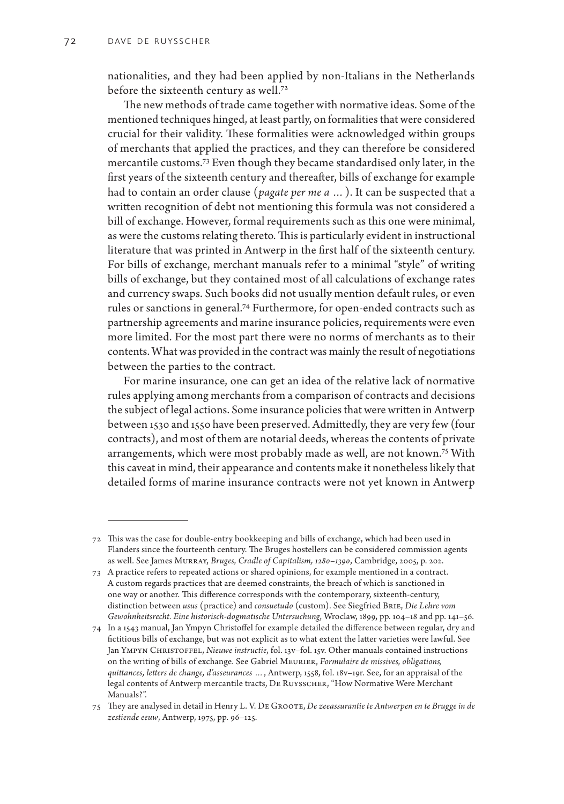nationalities, and they had been applied by non-Italians in the Netherlands before the sixteenth century as well.<sup>72</sup>

The new methods of trade came together with normative ideas. Some of the mentioned techniques hinged, at least partly, on formalities that were considered crucial for their validity. These formalities were acknowledged within groups of merchants that applied the practices, and they can therefore be considered mercantile customs.73 Even though they became standardised only later, in the first years of the sixteenth century and thereafter, bills of exchange for example had to contain an order clause (*pagate per me a …*). It can be suspected that a written recognition of debt not mentioning this formula was not considered a bill of exchange. However, formal requirements such as this one were minimal, as were the customs relating thereto. This is particularly evident in instructional literature that was printed in Antwerp in the first half of the sixteenth century. For bills of exchange, merchant manuals refer to a minimal "style" of writing bills of exchange, but they contained most of all calculations of exchange rates and currency swaps. Such books did not usually mention default rules, or even rules or sanctions in general.74 Furthermore, for open-ended contracts such as partnership agreements and marine insurance policies, requirements were even more limited. For the most part there were no norms of merchants as to their contents. What was provided in the contract was mainly the result of negotiations between the parties to the contract.

For marine insurance, one can get an idea of the relative lack of normative rules applying among merchants from a comparison of contracts and decisions the subject of legal actions. Some insurance policies that were written in Antwerp between 1530 and 1550 have been preserved. Admittedly, they are very few (four contracts), and most of them are notarial deeds, whereas the contents of private arrangements, which were most probably made as well, are not known.75 With this caveat in mind, their appearance and contents make it nonetheless likely that detailed forms of marine insurance contracts were not yet known in Antwerp

<sup>72</sup> This was the case for double-entry bookkeeping and bills of exchange, which had been used in Flanders since the fourteenth century. The Bruges hostellers can be considered commission agents as well. See James Murray, *Bruges, Cradle of Capitalism, 1280–1390*, Cambridge, 2005, p. 202.

<sup>73</sup> A practice refers to repeated actions or shared opinions, for example mentioned in a contract. A custom regards practices that are deemed constraints, the breach of which is sanctioned in one way or another. This difference corresponds with the contemporary, sixteenth-century, distinction between *usus* (practice) and *consuetudo* (custom). See Siegfried Brie, *Die Lehre vom Gewohnheitsrecht. Eine historisch-dogmatische Untersuchung*, Wroclaw, 1899, pp. 104–18 and pp. 141–56.

<sup>74</sup> In a 1543 manual, Jan Ympyn Christoffel for example detailed the difference between regular, dry and fictitious bills of exchange, but was not explicit as to what extent the latter varieties were lawful. See Jan Ympyn Christoffel, *Nieuwe instructie*, fol. 13v–fol. 15v. Other manuals contained instructions on the writing of bills of exchange. See Gabriel Meurier, *Formulaire de missives, obligations, quittances, letters de change, d'asseurances …*, Antwerp, 1558, fol. 18v–19r. See, for an appraisal of the legal contents of Antwerp mercantile tracts, De Ruysscher, "How Normative Were Merchant Manuals?".

<sup>75</sup> They are analysed in detail in Henry L. V. De Groote, *De zeeassurantie te Antwerpen en te Brugge in de zestiende eeuw*, Antwerp, 1975, pp. 96–125.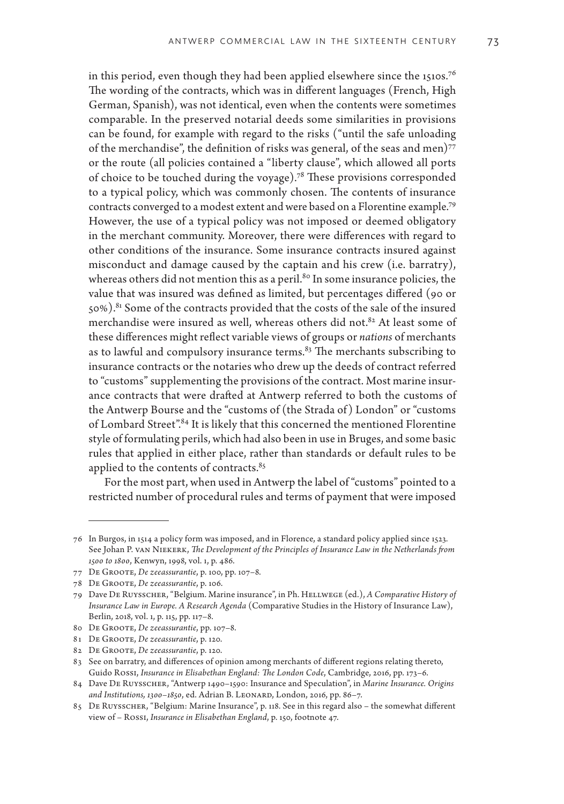in this period, even though they had been applied elsewhere since the 1510s.<sup>76</sup> The wording of the contracts, which was in different languages (French, High German, Spanish), was not identical, even when the contents were sometimes comparable. In the preserved notarial deeds some similarities in provisions can be found, for example with regard to the risks ("until the safe unloading of the merchandise", the definition of risks was general, of the seas and men)<sup>77</sup> or the route (all policies contained a "liberty clause", which allowed all ports of choice to be touched during the voyage).78 These provisions corresponded to a typical policy, which was commonly chosen. The contents of insurance contracts converged to a modest extent and were based on a Florentine example.79 However, the use of a typical policy was not imposed or deemed obligatory in the merchant community. Moreover, there were differences with regard to other conditions of the insurance. Some insurance contracts insured against misconduct and damage caused by the captain and his crew (i.e. barratry), whereas others did not mention this as a peril.<sup>80</sup> In some insurance policies, the value that was insured was defined as limited, but percentages differed (90 or 50%).<sup>81</sup> Some of the contracts provided that the costs of the sale of the insured merchandise were insured as well, whereas others did not.<sup>82</sup> At least some of these differences might reflect variable views of groups or *nations* of merchants as to lawful and compulsory insurance terms. $83$  The merchants subscribing to insurance contracts or the notaries who drew up the deeds of contract referred to "customs" supplementing the provisions of the contract. Most marine insurance contracts that were drafted at Antwerp referred to both the customs of the Antwerp Bourse and the "customs of (the Strada of ) London" or "customs of Lombard Street".84 It is likely that this concerned the mentioned Florentine style of formulating perils, which had also been in use in Bruges, and some basic rules that applied in either place, rather than standards or default rules to be applied to the contents of contracts.<sup>85</sup>

For the most part, when used in Antwerp the label of "customs" pointed to a restricted number of procedural rules and terms of payment that were imposed

<sup>76</sup> In Burgos, in 1514 a policy form was imposed, and in Florence, a standard policy applied since 1523. See Johan P. van Niekerk, *The Development of the Principles of Insurance Law in the Netherlands from 1500 to 1800*, Kenwyn, 1998, vol. 1, p. 486.

<sup>77</sup> De Groote, *De zeeassurantie*, p. 100, pp. 107–8.

<sup>78</sup> De Groote, *De zeeassurantie*, p. 106.

<sup>79</sup> Dave De Ruysscher, "Belgium. Marine insurance", in Ph. Hellwege (ed.), *A Comparative History of Insurance Law in Europe. A Research Agenda* (Comparative Studies in the History of Insurance Law), Berlin, 2018, vol. 1, p. 115, pp. 117–8.

<sup>80</sup> De Groote, *De zeeassurantie*, pp. 107–8.

<sup>81</sup> De Groote, *De zeeassurantie*, p. 120.

<sup>82</sup> De Groote, *De zeeassurantie*, p. 120.

<sup>83</sup> See on barratry, and differences of opinion among merchants of different regions relating thereto, Guido Rossi, *Insurance in Elisabethan England: The London Code*, Cambridge, 2016, pp. 173–6.

<sup>84</sup> Dave De Ruysscher, "Antwerp 1490–1590: Insurance and Speculation", in *Marine Insurance. Origins and Institutions, 1300–1850*, ed. Adrian B. Leonard, London, 2016, pp. 86–7.

<sup>85</sup> De Ruysscher, "Belgium: Marine Insurance", p. 118. See in this regard also – the somewhat different view of – Rossi, *Insurance in Elisabethan England*, p. 150, footnote 47.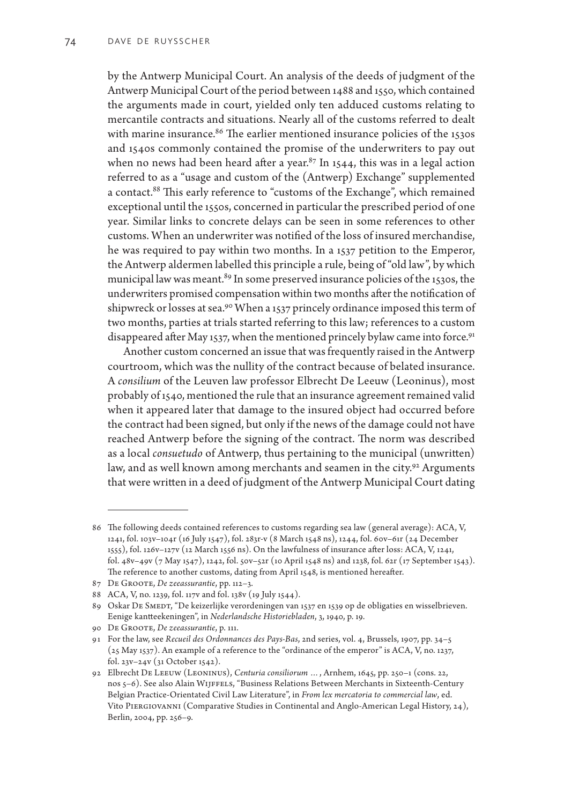by the Antwerp Municipal Court. An analysis of the deeds of judgment of the Antwerp Municipal Court of the period between 1488 and 1550, which contained the arguments made in court, yielded only ten adduced customs relating to mercantile contracts and situations. Nearly all of the customs referred to dealt with marine insurance. $86$  The earlier mentioned insurance policies of the 1530s and 1540s commonly contained the promise of the underwriters to pay out when no news had been heard after a year.<sup>87</sup> In 1544, this was in a legal action referred to as a "usage and custom of the (Antwerp) Exchange" supplemented a contact.<sup>88</sup> This early reference to "customs of the Exchange", which remained exceptional until the 1550s, concerned in particular the prescribed period of one year. Similar links to concrete delays can be seen in some references to other customs. When an underwriter was notified of the loss of insured merchandise, he was required to pay within two months. In a 1537 petition to the Emperor, the Antwerp aldermen labelled this principle a rule, being of "old law", by which municipal law was meant.<sup>89</sup> In some preserved insurance policies of the 1530s, the underwriters promised compensation within two months after the notification of shipwreck or losses at sea.<sup>90</sup> When a 1537 princely ordinance imposed this term of two months, parties at trials started referring to this law; references to a custom disappeared after May 1537, when the mentioned princely bylaw came into force.<sup>91</sup>

Another custom concerned an issue that was frequently raised in the Antwerp courtroom, which was the nullity of the contract because of belated insurance. A *consilium* of the Leuven law professor Elbrecht De Leeuw (Leoninus), most probably of 1540, mentioned the rule that an insurance agreement remained valid when it appeared later that damage to the insured object had occurred before the contract had been signed, but only if the news of the damage could not have reached Antwerp before the signing of the contract. The norm was described as a local *consuetudo* of Antwerp, thus pertaining to the municipal (unwritten) law, and as well known among merchants and seamen in the city.<sup>92</sup> Arguments that were written in a deed of judgment of the Antwerp Municipal Court dating

<sup>86</sup> The following deeds contained references to customs regarding sea law (general average): ACA, V, 1241, fol. 103v–104r (16 July 1547), fol. 283r-v (8 March 1548 ns), 1244, fol. 60v–61r (24 December 1555), fol. 126v–127v (12 March 1556 ns). On the lawfulness of insurance after loss: ACA, V, 1241, fol. 48v–49v (7 May 1547), 1242, fol. 50v–52r (10 April 1548 ns) and 1238, fol. 62r (17 September 1543). The reference to another customs, dating from April 1548, is mentioned hereafter.

<sup>87</sup> De Groote, *De zeeassurantie*, pp. 112–3.

<sup>88</sup> ACA, V, no. 1239, fol. 117v and fol. 138v (19 July 1544).

<sup>89</sup> Oskar DE SMEDT, "De keizerlijke verordeningen van 1537 en 1539 op de obligaties en wisselbrieven. Eenige kantteekeningen", in *Nederlandsche Historiebladen*, 3, 1940, p. 19.

<sup>90</sup> De Groote, *De zeeassurantie*, p. 111.

<sup>91</sup> For the law, see *Recueil des Ordonnances des Pays-Bas*, 2nd series, vol. 4, Brussels, 1907, pp. 34–5 (25 May 1537). An example of a reference to the "ordinance of the emperor" is ACA, V, no. 1237, fol. 23v–24v (31 October 1542).

<sup>92</sup> Elbrecht De Leeuw (Leoninus), *Centuria consiliorum …*, Arnhem, 1645, pp. 250–1 (cons. 22, nos 5–6). See also Alain Wijffels, "Business Relations Between Merchants in Sixteenth-Century Belgian Practice-Orientated Civil Law Literature", in *From lex mercatoria to commercial law*, ed. Vito Piergiovanni (Comparative Studies in Continental and Anglo-American Legal History, 24), Berlin, 2004, pp. 256–9.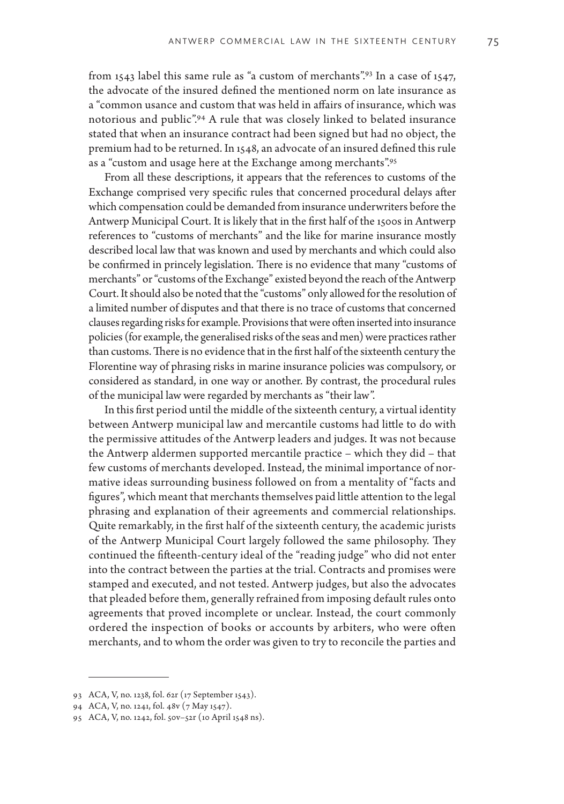from 1543 label this same rule as "a custom of merchants".<sup>93</sup> In a case of 1547, the advocate of the insured defined the mentioned norm on late insurance as a "common usance and custom that was held in affairs of insurance, which was notorious and public".94 A rule that was closely linked to belated insurance stated that when an insurance contract had been signed but had no object, the premium had to be returned. In 1548, an advocate of an insured defined this rule as a "custom and usage here at the Exchange among merchants".95

From all these descriptions, it appears that the references to customs of the Exchange comprised very specific rules that concerned procedural delays after which compensation could be demanded from insurance underwriters before the Antwerp Municipal Court. It is likely that in the first half of the 1500s in Antwerp references to "customs of merchants" and the like for marine insurance mostly described local law that was known and used by merchants and which could also be confirmed in princely legislation. There is no evidence that many "customs of merchants" or "customs of the Exchange" existed beyond the reach of the Antwerp Court. It should also be noted that the "customs" only allowed for the resolution of a limited number of disputes and that there is no trace of customs that concerned clauses regarding risks for example. Provisions that were often inserted into insurance policies (for example, the generalised risks of the seas and men) were practices rather than customs. There is no evidence that in the first half of the sixteenth century the Florentine way of phrasing risks in marine insurance policies was compulsory, or considered as standard, in one way or another. By contrast, the procedural rules of the municipal law were regarded by merchants as "their law".

In this first period until the middle of the sixteenth century, a virtual identity between Antwerp municipal law and mercantile customs had little to do with the permissive attitudes of the Antwerp leaders and judges. It was not because the Antwerp aldermen supported mercantile practice – which they did – that few customs of merchants developed. Instead, the minimal importance of normative ideas surrounding business followed on from a mentality of "facts and figures", which meant that merchants themselves paid little attention to the legal phrasing and explanation of their agreements and commercial relationships. Quite remarkably, in the first half of the sixteenth century, the academic jurists of the Antwerp Municipal Court largely followed the same philosophy. They continued the fifteenth-century ideal of the "reading judge" who did not enter into the contract between the parties at the trial. Contracts and promises were stamped and executed, and not tested. Antwerp judges, but also the advocates that pleaded before them, generally refrained from imposing default rules onto agreements that proved incomplete or unclear. Instead, the court commonly ordered the inspection of books or accounts by arbiters, who were often merchants, and to whom the order was given to try to reconcile the parties and

<sup>93</sup> ACA, V, no. 1238, fol. 62r (17 September 1543).

<sup>94</sup> ACA, V, no. 1241, fol. 48v (7 May 1547).

<sup>95</sup> ACA, V, no. 1242, fol. 50v–52r (10 April 1548 ns).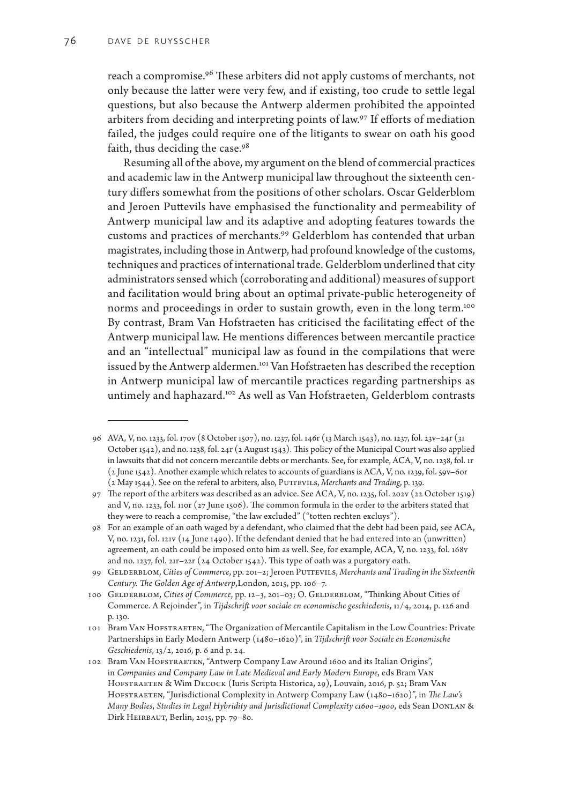reach a compromise.<sup>96</sup> These arbiters did not apply customs of merchants, not only because the latter were very few, and if existing, too crude to settle legal questions, but also because the Antwerp aldermen prohibited the appointed arbiters from deciding and interpreting points of law.97 If efforts of mediation failed, the judges could require one of the litigants to swear on oath his good faith, thus deciding the case.98

Resuming all of the above, my argument on the blend of commercial practices and academic law in the Antwerp municipal law throughout the sixteenth century differs somewhat from the positions of other scholars. Oscar Gelderblom and Jeroen Puttevils have emphasised the functionality and permeability of Antwerp municipal law and its adaptive and adopting features towards the customs and practices of merchants.99 Gelderblom has contended that urban magistrates, including those in Antwerp, had profound knowledge of the customs, techniques and practices of international trade. Gelderblom underlined that city administrators sensed which (corroborating and additional) measures of support and facilitation would bring about an optimal private-public heterogeneity of norms and proceedings in order to sustain growth, even in the long term.<sup>100</sup> By contrast, Bram Van Hofstraeten has criticised the facilitating effect of the Antwerp municipal law. He mentions differences between mercantile practice and an "intellectual" municipal law as found in the compilations that were issued by the Antwerp aldermen.101 Van Hofstraeten has described the reception in Antwerp municipal law of mercantile practices regarding partnerships as untimely and haphazard.102 As well as Van Hofstraeten, Gelderblom contrasts

<sup>96</sup> AVA, V, no. 1233, fol. 170v (8 October 1507), no. 1237, fol. 146r (13 March 1543), no. 1237, fol. 23v–24r (31 October 1542), and no. 1238, fol. 24r (2 August 1543). This policy of the Municipal Court was also applied in lawsuits that did not concern mercantile debts or merchants. See, for example, ACA, V, no. 1238, fol. 1r (2 June 1542). Another example which relates to accounts of guardians is ACA, V, no. 1239, fol. 59v–60r (2 May 1544). See on the referal to arbiters, also, PUTTEVILS, *Merchants and Trading*, p. 139.

<sup>97</sup> The report of the arbiters was described as an advice. See ACA, V, no. 1235, fol. 202v (22 October 1519) and V, no. 1233, fol. 110r (27 June 1506). The common formula in the order to the arbiters stated that they were to reach a compromise, "the law excluded" ("totten rechten excluys").

<sup>98</sup> For an example of an oath waged by a defendant, who claimed that the debt had been paid, see ACA, V, no. 1231, fol. 121v (14 June 1490). If the defendant denied that he had entered into an (unwritten) agreement, an oath could be imposed onto him as well. See, for example, ACA, V, no. 1233, fol. 168v and no. 1237, fol. 21r–22r (24 October 1542). This type of oath was a purgatory oath.

<sup>99</sup> Gelderblom, *Cities of Commerce*, pp. 201–2; Jeroen Puttevils, *Merchants and Trading in the Sixteenth Century. The Golden Age of Antwerp*,London, 2015, pp. 106–7.

<sup>100</sup> GELDERBLOM, Cities of Commerce, pp. 12-3, 201-03; O. GELDERBLOM, "Thinking About Cities of Commerce. A Rejoinder", in *Tijdschrift voor sociale en economische geschiedenis*, 11/4, 2014, p. 126 and p. 130.

<sup>101</sup> Bram VAN HOFSTRAETEN, "The Organization of Mercantile Capitalism in the Low Countries: Private Partnerships in Early Modern Antwerp (1480–1620)", in *Tijdschrift voor Sociale en Economische Geschiedenis*, 13/2, 2016, p. 6 and p. 24.

<sup>102</sup> Bram Van Hofstraeten, "Antwerp Company Law Around 1600 and its Italian Origins", in *Companies and Company Law in Late Medieval and Early Modern Europe*, eds Bram Van HOFSTRAETEN & Wim DECOCK (Iuris Scripta Historica, 29), Louvain, 2016, p. 52; Bram VAN HOFSTRAETEN, "Jurisdictional Complexity in Antwerp Company Law (1480-1620)", in *The Law's Many Bodies*, *Studies in Legal Hybridity and Jurisdictional Complexity c1600–1900*, eds Sean Donlan & Dirk HEIRBAUT, Berlin, 2015, pp. 79-80.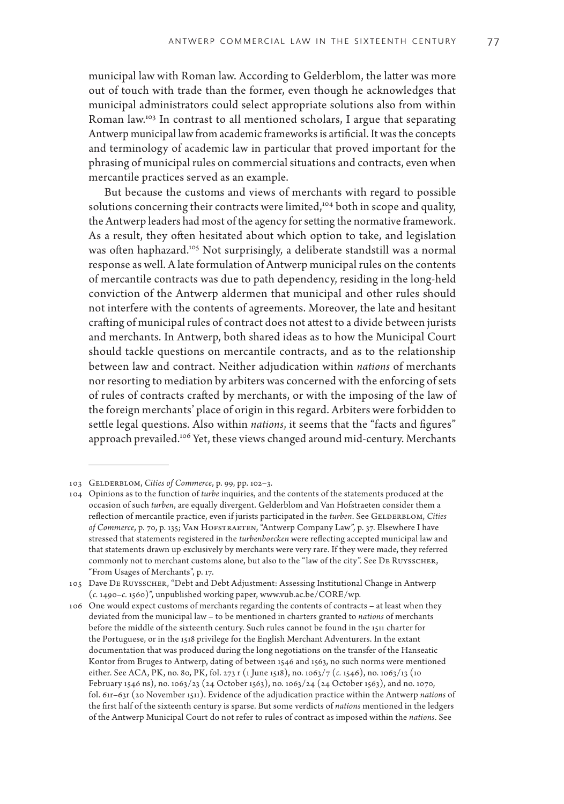municipal law with Roman law. According to Gelderblom, the latter was more out of touch with trade than the former, even though he acknowledges that municipal administrators could select appropriate solutions also from within Roman law.103 In contrast to all mentioned scholars, I argue that separating Antwerp municipal law from academic frameworks is artificial. It was the concepts and terminology of academic law in particular that proved important for the phrasing of municipal rules on commercial situations and contracts, even when mercantile practices served as an example.

But because the customs and views of merchants with regard to possible solutions concerning their contracts were limited,<sup>104</sup> both in scope and quality, the Antwerp leaders had most of the agency for setting the normative framework. As a result, they often hesitated about which option to take, and legislation was often haphazard.<sup>105</sup> Not surprisingly, a deliberate standstill was a normal response as well. A late formulation of Antwerp municipal rules on the contents of mercantile contracts was due to path dependency, residing in the long-held conviction of the Antwerp aldermen that municipal and other rules should not interfere with the contents of agreements. Moreover, the late and hesitant crafting of municipal rules of contract does not attest to a divide between jurists and merchants. In Antwerp, both shared ideas as to how the Municipal Court should tackle questions on mercantile contracts, and as to the relationship between law and contract. Neither adjudication within *nations* of merchants nor resorting to mediation by arbiters was concerned with the enforcing of sets of rules of contracts crafted by merchants, or with the imposing of the law of the foreign merchants' place of origin in this regard. Arbiters were forbidden to settle legal questions. Also within *nations*, it seems that the "facts and figures" approach prevailed.<sup>106</sup> Yet, these views changed around mid-century. Merchants

<sup>103</sup> Gelderblom, *Cities of Commerce*, p. 99, pp. 102–3.

<sup>104</sup> Opinions as to the function of *turbe* inquiries, and the contents of the statements produced at the occasion of such *turben*, are equally divergent. Gelderblom and Van Hofstraeten consider them a reflection of mercantile practice, even if jurists participated in the *turben*. See GELDERBLOM, Cities *of Commerce*, p. 70, p. 135; Van Hofstraeten, "Antwerp Company Law", p. 37. Elsewhere I have stressed that statements registered in the *turbenboecken* were reflecting accepted municipal law and that statements drawn up exclusively by merchants were very rare. If they were made, they referred commonly not to merchant customs alone, but also to the "law of the city". See De Ruysscher, "From Usages of Merchants", p. 17.

<sup>105</sup> Dave De Ruysscher, "Debt and Debt Adjustment: Assessing Institutional Change in Antwerp (*c.* 1490–*c.* 1560)", unpublished working paper, www.vub.ac.be/CORE/wp.

<sup>106</sup> One would expect customs of merchants regarding the contents of contracts – at least when they deviated from the municipal law – to be mentioned in charters granted to *nations* of merchants before the middle of the sixteenth century. Such rules cannot be found in the 1511 charter for the Portuguese, or in the 1518 privilege for the English Merchant Adventurers. In the extant documentation that was produced during the long negotiations on the transfer of the Hanseatic Kontor from Bruges to Antwerp, dating of between 1546 and 1563, no such norms were mentioned either. See ACA, PK, no. 80, PK, fol. 273 r (1 June 1518), no. 1063/7 (*c.* 1546), no. 1063/13 (10 February 1546 ns), no. 1063/23 (24 October 1563), no. 1063/24 (24 October 1563), and no. 1070, fol. 61r–63r (20 November 1511). Evidence of the adjudication practice within the Antwerp *nations* of the first half of the sixteenth century is sparse. But some verdicts of *nations* mentioned in the ledgers of the Antwerp Municipal Court do not refer to rules of contract as imposed within the *nations*. See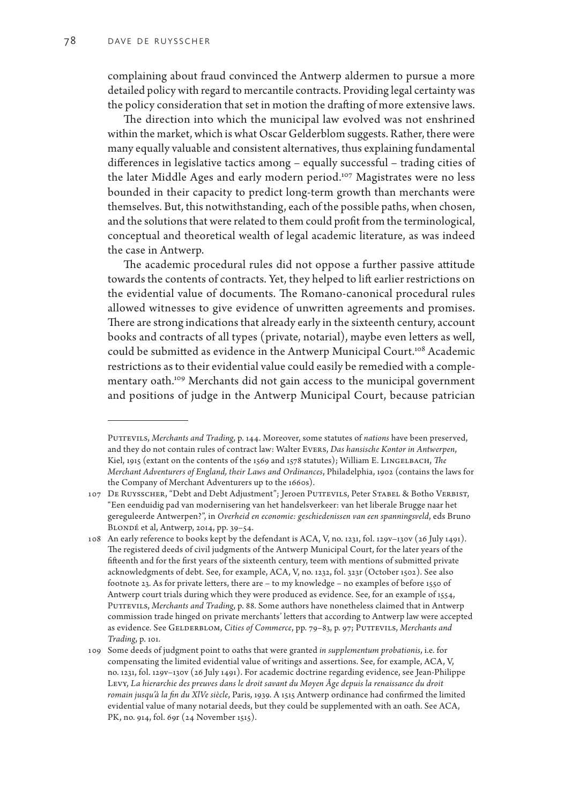complaining about fraud convinced the Antwerp aldermen to pursue a more detailed policy with regard to mercantile contracts. Providing legal certainty was the policy consideration that set in motion the drafting of more extensive laws.

The direction into which the municipal law evolved was not enshrined within the market, which is what Oscar Gelderblom suggests. Rather, there were many equally valuable and consistent alternatives, thus explaining fundamental differences in legislative tactics among – equally successful – trading cities of the later Middle Ages and early modern period.<sup>107</sup> Magistrates were no less bounded in their capacity to predict long-term growth than merchants were themselves. But, this notwithstanding, each of the possible paths, when chosen, and the solutions that were related to them could profit from the terminological, conceptual and theoretical wealth of legal academic literature, as was indeed the case in Antwerp.

The academic procedural rules did not oppose a further passive attitude towards the contents of contracts. Yet, they helped to lift earlier restrictions on the evidential value of documents. The Romano-canonical procedural rules allowed witnesses to give evidence of unwritten agreements and promises. There are strong indications that already early in the sixteenth century, account books and contracts of all types (private, notarial), maybe even letters as well, could be submitted as evidence in the Antwerp Municipal Court.<sup>108</sup> Academic restrictions as to their evidential value could easily be remedied with a complementary oath.<sup>109</sup> Merchants did not gain access to the municipal government and positions of judge in the Antwerp Municipal Court, because patrician

Puttevils, *Merchants and Trading*, p. 144. Moreover, some statutes of *nations* have been preserved, and they do not contain rules of contract law: Walter Evers, *Das hansische Kontor in Antwerpen*, Kiel, 1915 (extant on the contents of the 1569 and 1578 statutes); William E. LINGELBACH, *The Merchant Adventurers of England, their Laws and Ordinances*, Philadelphia, 1902 (contains the laws for the Company of Merchant Adventurers up to the 1660s).

<sup>107</sup> DE RUYSSCHER, "Debt and Debt Adjustment"; Jeroen PUTTEVILS, Peter STABEL & Botho VERBIST, "Een eenduidig pad van modernisering van het handelsverkeer: van het liberale Brugge naar het gereguleerde Antwerpen?", in *Overheid en economie: geschiedenissen van een spanningsveld*, eds Bruno Blondé et al, Antwerp, 2014, pp. 39–54.

<sup>108</sup> An early reference to books kept by the defendant is ACA, V, no. 1231, fol. 129v–130v (26 July 1491). The registered deeds of civil judgments of the Antwerp Municipal Court, for the later years of the fifteenth and for the first years of the sixteenth century, teem with mentions of submitted private acknowledgments of debt. See, for example, ACA, V, no. 1232, fol. 323r (October 1502). See also footnote 23. As for private letters, there are – to my knowledge – no examples of before 1550 of Antwerp court trials during which they were produced as evidence. See, for an example of 1554, Puttevils, *Merchants and Trading*, p. 88. Some authors have nonetheless claimed that in Antwerp commission trade hinged on private merchants' letters that according to Antwerp law were accepted as evidence. See GELDERBLOM, *Cities of Commerce*, pp. 79-83, p. 97; PUTTEVILS, *Merchants and Trading*, p. 101.

<sup>109</sup> Some deeds of judgment point to oaths that were granted *in supplementum probationis*, i.e. for compensating the limited evidential value of writings and assertions. See, for example, ACA, V, no. 1231, fol. 129v–130v (26 July 1491). For academic doctrine regarding evidence, see Jean-Philippe Levy, *La hierarchie des preuves dans le droit savant du Moyen Âge depuis la renaissance du droit romain jusqu'à la fin du XlVe siècle*, Paris, 1939. A 1515 Antwerp ordinance had confirmed the limited evidential value of many notarial deeds, but they could be supplemented with an oath. See ACA, PK, no. 914, fol. 69r (24 November 1515).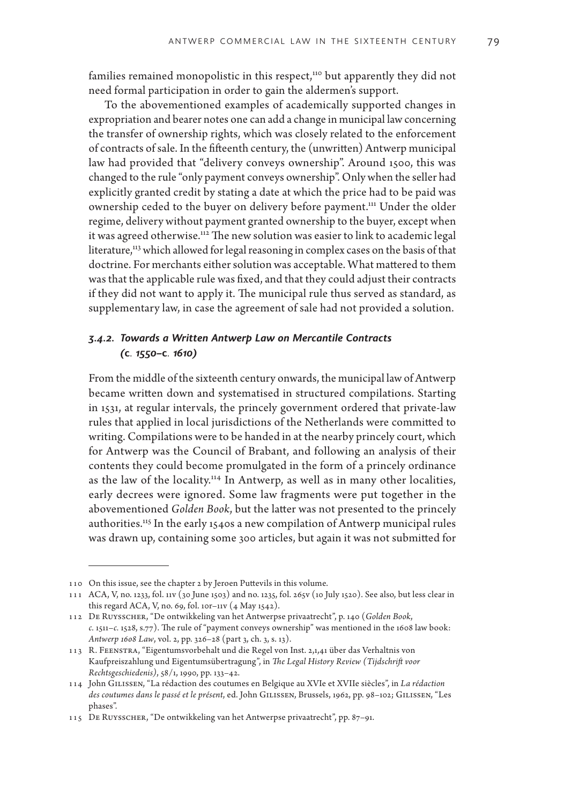families remained monopolistic in this respect,<sup>110</sup> but apparently they did not need formal participation in order to gain the aldermen's support.

To the abovementioned examples of academically supported changes in expropriation and bearer notes one can add a change in municipal law concerning the transfer of ownership rights, which was closely related to the enforcement of contracts of sale. In the fifteenth century, the (unwritten) Antwerp municipal law had provided that "delivery conveys ownership". Around 1500, this was changed to the rule "only payment conveys ownership". Only when the seller had explicitly granted credit by stating a date at which the price had to be paid was ownership ceded to the buyer on delivery before payment.<sup>111</sup> Under the older regime, delivery without payment granted ownership to the buyer, except when it was agreed otherwise.<sup>112</sup> The new solution was easier to link to academic legal literature,<sup>113</sup> which allowed for legal reasoning in complex cases on the basis of that doctrine. For merchants either solution was acceptable. What mattered to them was that the applicable rule was fixed, and that they could adjust their contracts if they did not want to apply it. The municipal rule thus served as standard, as supplementary law, in case the agreement of sale had not provided a solution.

## *3.4.2. Towards a Written Antwerp Law on Mercantile Contracts (***c***. 1550–***c***. 1610)*

From the middle of the sixteenth century onwards, the municipal law of Antwerp became written down and systematised in structured compilations. Starting in 1531, at regular intervals, the princely government ordered that private-law rules that applied in local jurisdictions of the Netherlands were committed to writing. Compilations were to be handed in at the nearby princely court, which for Antwerp was the Council of Brabant, and following an analysis of their contents they could become promulgated in the form of a princely ordinance as the law of the locality.<sup>114</sup> In Antwerp, as well as in many other localities, early decrees were ignored. Some law fragments were put together in the abovementioned *Golden Book*, but the latter was not presented to the princely authorities.<sup>115</sup> In the early 1540s a new compilation of Antwerp municipal rules was drawn up, containing some 300 articles, but again it was not submitted for

<sup>110</sup> On this issue, see the chapter 2 by Jeroen Puttevils in this volume.

<sup>111</sup> ACA, V, no. 1233, fol. 11v (30 June 1503) and no. 1235, fol. 265v (10 July 1520). See also, but less clear in this regard ACA, V, no. 69, fol. 10r-11v  $(4$  May 1542).

<sup>112</sup> De Ruysscher, "De ontwikkeling van het Antwerpse privaatrecht", p. 140 (*Golden Book*, *c.* 1511–*c.* 1528, s.77). The rule of "payment conveys ownership" was mentioned in the 1608 law book: *Antwerp 1608 Law*, vol. 2, pp. 326–28 (part 3, ch. 3, s. 13).

<sup>113</sup> R. Feenstra, "Eigentumsvorbehalt und die Regel von Inst. 2,1,41 über das Verhaltnis von Kaufpreiszahlung und Eigentumsübertragung", in *The Legal History Review (Tijdschrift voor Rechtsgeschiedenis)*, 58/1, 1990, pp. 133–42.

<sup>114</sup> John Gilissen, "La rédaction des coutumes en Belgique au XVIe et XVIIe siècles", in *La rédaction des coutumes dans le passé et le présent*, ed. John Gilissen, Brussels, 1962, pp. 98–102; Gilissen, "Les phases".

<sup>115</sup> De Ruysscher, "De ontwikkeling van het Antwerpse privaatrecht", pp. 87–91.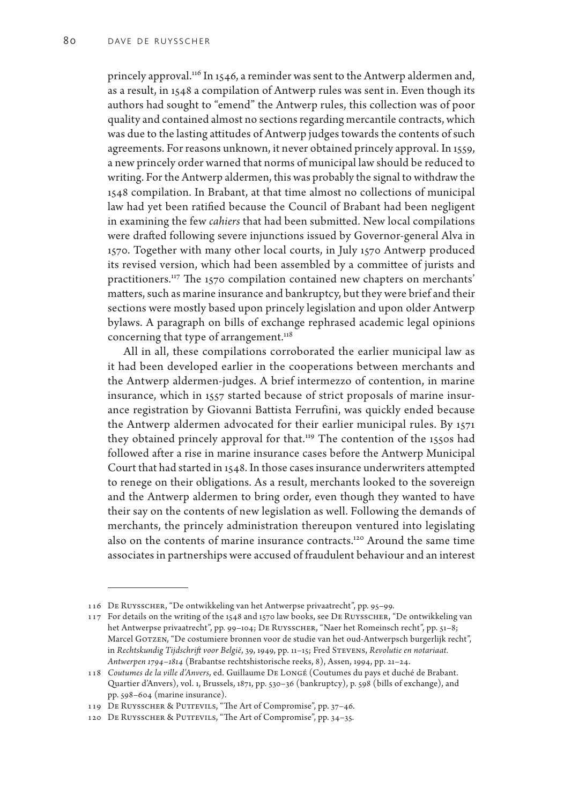princely approval.<sup>116</sup> In 1546, a reminder was sent to the Antwerp aldermen and, as a result, in 1548 a compilation of Antwerp rules was sent in. Even though its authors had sought to "emend" the Antwerp rules, this collection was of poor quality and contained almost no sections regarding mercantile contracts, which was due to the lasting attitudes of Antwerp judges towards the contents of such agreements. For reasons unknown, it never obtained princely approval. In 1559, a new princely order warned that norms of municipal law should be reduced to writing. For the Antwerp aldermen, this was probably the signal to withdraw the 1548 compilation. In Brabant, at that time almost no collections of municipal law had yet been ratified because the Council of Brabant had been negligent in examining the few *cahiers* that had been submitted. New local compilations were drafted following severe injunctions issued by Governor-general Alva in 1570. Together with many other local courts, in July 1570 Antwerp produced its revised version, which had been assembled by a committee of jurists and practitioners.<sup>117</sup> The 1570 compilation contained new chapters on merchants' matters, such as marine insurance and bankruptcy, but they were brief and their sections were mostly based upon princely legislation and upon older Antwerp bylaws. A paragraph on bills of exchange rephrased academic legal opinions concerning that type of arrangement.<sup>118</sup>

All in all, these compilations corroborated the earlier municipal law as it had been developed earlier in the cooperations between merchants and the Antwerp aldermen-judges. A brief intermezzo of contention, in marine insurance, which in 1557 started because of strict proposals of marine insurance registration by Giovanni Battista Ferrufini, was quickly ended because the Antwerp aldermen advocated for their earlier municipal rules. By 1571 they obtained princely approval for that.<sup>119</sup> The contention of the 1550s had followed after a rise in marine insurance cases before the Antwerp Municipal Court that had started in 1548. In those cases insurance underwriters attempted to renege on their obligations. As a result, merchants looked to the sovereign and the Antwerp aldermen to bring order, even though they wanted to have their say on the contents of new legislation as well. Following the demands of merchants, the princely administration thereupon ventured into legislating also on the contents of marine insurance contracts.<sup>120</sup> Around the same time associates in partnerships were accused of fraudulent behaviour and an interest

<sup>116</sup> De Ruysscher, "De ontwikkeling van het Antwerpse privaatrecht", pp. 95–99.

<sup>117</sup> For details on the writing of the 1548 and 1570 law books, see De Ruysscher, "De ontwikkeling van het Antwerpse privaatrecht", pp. 99-104; DE RUYSSCHER, "Naer het Romeinsch recht", pp. 51-8; Marcel GOTZEN, "De costumiere bronnen voor de studie van het oud-Antwerpsch burgerlijk recht", in *Rechtskundig Tijdschrift voor België*, 39, 1949, pp. 11–15; Fred Stevens, *Revolutie en notariaat. Antwerpen 1794–1814* (Brabantse rechtshistorische reeks, 8), Assen, 1994, pp. 21–24.

<sup>118</sup> *Coutumes de la ville d'Anvers*, ed. Guillaume De Longé (Coutumes du pays et duché de Brabant. Quartier d'Anvers), vol. 1, Brussels, 1871, pp. 530–36 (bankruptcy), p. 598 (bills of exchange), and pp. 598–604 (marine insurance).

<sup>119</sup> DE RUYSSCHER & PUTTEVILS, "The Art of Compromise", pp. 37-46.

<sup>120</sup> DE RUYSSCHER & PUTTEVILS, "The Art of Compromise", pp. 34-35.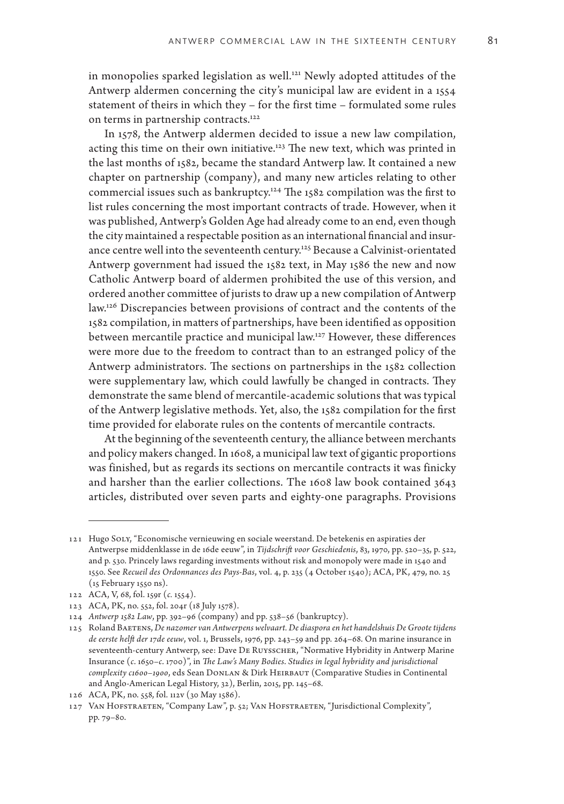in monopolies sparked legislation as well.<sup>121</sup> Newly adopted attitudes of the Antwerp aldermen concerning the city's municipal law are evident in a 1554 statement of theirs in which they – for the first time – formulated some rules on terms in partnership contracts.<sup>122</sup>

In 1578, the Antwerp aldermen decided to issue a new law compilation, acting this time on their own initiative.123 The new text, which was printed in the last months of 1582, became the standard Antwerp law. It contained a new chapter on partnership (company), and many new articles relating to other commercial issues such as bankruptcy.124 The 1582 compilation was the first to list rules concerning the most important contracts of trade. However, when it was published, Antwerp's Golden Age had already come to an end, even though the city maintained a respectable position as an international financial and insurance centre well into the seventeenth century.<sup>125</sup> Because a Calvinist-orientated Antwerp government had issued the 1582 text, in May 1586 the new and now Catholic Antwerp board of aldermen prohibited the use of this version, and ordered another committee of jurists to draw up a new compilation of Antwerp law.126 Discrepancies between provisions of contract and the contents of the 1582 compilation, in matters of partnerships, have been identified as opposition between mercantile practice and municipal law.127 However, these differences were more due to the freedom to contract than to an estranged policy of the Antwerp administrators. The sections on partnerships in the 1582 collection were supplementary law, which could lawfully be changed in contracts. They demonstrate the same blend of mercantile-academic solutions that was typical of the Antwerp legislative methods. Yet, also, the 1582 compilation for the first time provided for elaborate rules on the contents of mercantile contracts.

At the beginning of the seventeenth century, the alliance between merchants and policy makers changed. In 1608, a municipal law text of gigantic proportions was finished, but as regards its sections on mercantile contracts it was finicky and harsher than the earlier collections. The 1608 law book contained 3643 articles, distributed over seven parts and eighty-one paragraphs. Provisions

<sup>121</sup> Hugo Soly, "Economische vernieuwing en sociale weerstand. De betekenis en aspiraties der Antwerpse middenklasse in de 16de eeuw", in *Tijdschrift voor Geschiedenis*, 83, 1970, pp. 520–35, p. 522, and p. 530. Princely laws regarding investments without risk and monopoly were made in 1540 and 1550. See *Recueil des Ordonnances des Pays-Bas*, vol. 4, p. 235 (4 October 1540); ACA, PK, 479, no. 25 (15 February 1550 ns).

<sup>122</sup> ACA, V, 68, fol. 159r (*c.* 1554).

<sup>123</sup> ACA, PK, no. 552, fol. 204r (18 July 1578).

<sup>124</sup> *Antwerp 1582 Law*, pp. 392–96 (company) and pp. 538–56 (bankruptcy).

<sup>125</sup> Roland Baetens, *De nazomer van Antwerpens welvaart. De diaspora en het handelshuis De Groote tijdens de eerste helft der 17de eeuw*, vol. 1, Brussels, 1976, pp. 243–59 and pp. 264–68. On marine insurance in seventeenth-century Antwerp, see: Dave De Ruysscher, "Normative Hybridity in Antwerp Marine Insurance (*c*. 1650–*c*. 1700)", in *The Law's Many Bodies*. *Studies in legal hybridity and jurisdictional complexity c1600-1900*, eds Sean DONLAN & Dirk HEIRBAUT (Comparative Studies in Continental and Anglo-American Legal History, 32), Berlin, 2015, pp. 145–68.

<sup>126</sup> ACA, PK, no. 558, fol. 112v (30 May 1586).

<sup>127</sup> Van Hofstraeten, "Company Law", p. 52; Van Hofstraeten, "Jurisdictional Complexity", pp. 79–80.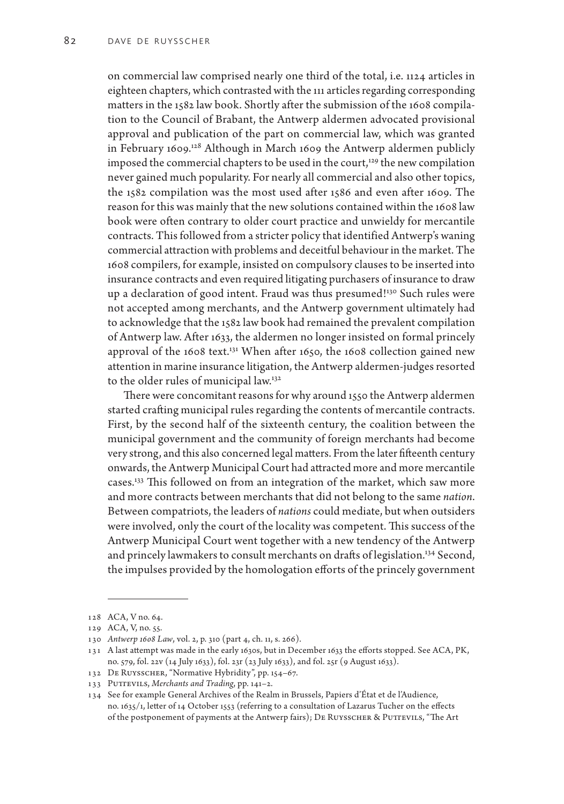on commercial law comprised nearly one third of the total, i.e. 1124 articles in eighteen chapters, which contrasted with the 111 articles regarding corresponding matters in the 1582 law book. Shortly after the submission of the 1608 compilation to the Council of Brabant, the Antwerp aldermen advocated provisional approval and publication of the part on commercial law, which was granted in February 1609.128 Although in March 1609 the Antwerp aldermen publicly imposed the commercial chapters to be used in the court,<sup>129</sup> the new compilation never gained much popularity. For nearly all commercial and also other topics, the 1582 compilation was the most used after 1586 and even after 1609. The reason for this was mainly that the new solutions contained within the 1608 law book were often contrary to older court practice and unwieldy for mercantile contracts. This followed from a stricter policy that identified Antwerp's waning commercial attraction with problems and deceitful behaviour in the market. The 1608 compilers, for example, insisted on compulsory clauses to be inserted into insurance contracts and even required litigating purchasers of insurance to draw up a declaration of good intent. Fraud was thus presumed!<sup>130</sup> Such rules were not accepted among merchants, and the Antwerp government ultimately had to acknowledge that the 1582 law book had remained the prevalent compilation of Antwerp law. After 1633, the aldermen no longer insisted on formal princely approval of the  $1608$  text.<sup>131</sup> When after 1650, the 1608 collection gained new attention in marine insurance litigation, the Antwerp aldermen-judges resorted to the older rules of municipal law.132

There were concomitant reasons for why around 1550 the Antwerp aldermen started crafting municipal rules regarding the contents of mercantile contracts. First, by the second half of the sixteenth century, the coalition between the municipal government and the community of foreign merchants had become very strong, and this also concerned legal matters. From the later fifteenth century onwards, the Antwerp Municipal Court had attracted more and more mercantile cases.133 This followed on from an integration of the market, which saw more and more contracts between merchants that did not belong to the same *nation*. Between compatriots, the leaders of *nations* could mediate, but when outsiders were involved, only the court of the locality was competent. This success of the Antwerp Municipal Court went together with a new tendency of the Antwerp and princely lawmakers to consult merchants on drafts of legislation.<sup>134</sup> Second, the impulses provided by the homologation efforts of the princely government

<sup>128</sup> ACA, V no. 64.

<sup>129</sup> ACA, V, no. 55.

<sup>130</sup> *Antwerp 1608 Law*, vol. 2, p. 310 (part 4, ch. 11, s. 266).

<sup>131</sup> A last attempt was made in the early 1630s, but in December 1633 the efforts stopped. See ACA, PK, no. 579, fol. 22v (14 July 1633), fol. 23r (23 July 1633), and fol. 25r (9 August 1633).

<sup>132</sup> De Ruysscher, "Normative Hybridity", pp. 154–67.

<sup>133</sup> PUTTEVILS, Merchants and Trading, pp. 141-2.

<sup>134</sup> See for example General Archives of the Realm in Brussels, Papiers d'État et de l'Audience, no. 1635/1, letter of 14 October 1553 (referring to a consultation of Lazarus Tucher on the effects of the postponement of payments at the Antwerp fairs); DE RUYSSCHER & PUTTEVILS, "The Art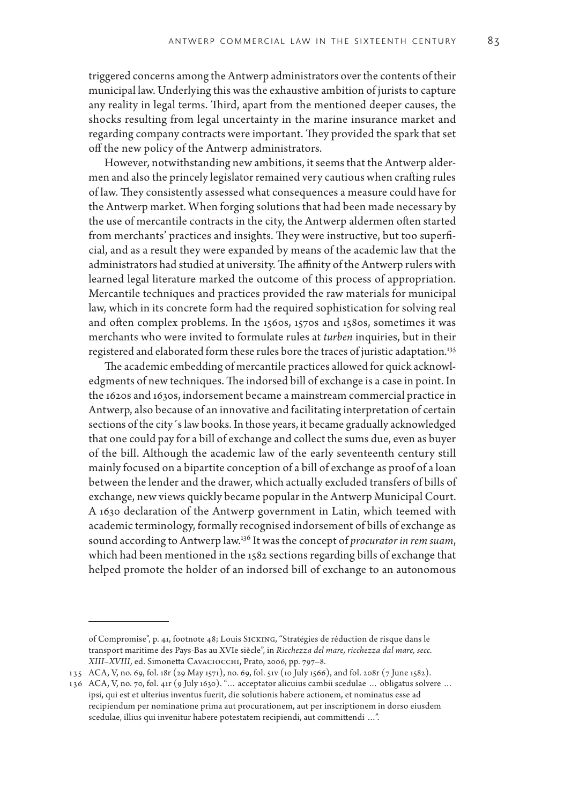triggered concerns among the Antwerp administrators over the contents of their municipal law. Underlying this was the exhaustive ambition of jurists to capture any reality in legal terms. Third, apart from the mentioned deeper causes, the shocks resulting from legal uncertainty in the marine insurance market and regarding company contracts were important. They provided the spark that set off the new policy of the Antwerp administrators.

However, notwithstanding new ambitions, it seems that the Antwerp aldermen and also the princely legislator remained very cautious when crafting rules of law. They consistently assessed what consequences a measure could have for the Antwerp market. When forging solutions that had been made necessary by the use of mercantile contracts in the city, the Antwerp aldermen often started from merchants' practices and insights. They were instructive, but too superficial, and as a result they were expanded by means of the academic law that the administrators had studied at university. The affinity of the Antwerp rulers with learned legal literature marked the outcome of this process of appropriation. Mercantile techniques and practices provided the raw materials for municipal law, which in its concrete form had the required sophistication for solving real and often complex problems. In the 1560s, 1570s and 1580s, sometimes it was merchants who were invited to formulate rules at *turben* inquiries, but in their registered and elaborated form these rules bore the traces of juristic adaptation.135

The academic embedding of mercantile practices allowed for quick acknowledgments of new techniques. The indorsed bill of exchange is a case in point. In the 1620s and 1630s, indorsement became a mainstream commercial practice in Antwerp, also because of an innovative and facilitating interpretation of certain sections of the city´s law books. In those years, it became gradually acknowledged that one could pay for a bill of exchange and collect the sums due, even as buyer of the bill. Although the academic law of the early seventeenth century still mainly focused on a bipartite conception of a bill of exchange as proof of a loan between the lender and the drawer, which actually excluded transfers of bills of exchange, new views quickly became popular in the Antwerp Municipal Court. A 1630 declaration of the Antwerp government in Latin, which teemed with academic terminology, formally recognised indorsement of bills of exchange as sound according to Antwerp law.136 It was the concept of *procurator in rem suam*, which had been mentioned in the 1582 sections regarding bills of exchange that helped promote the holder of an indorsed bill of exchange to an autonomous

of Compromise", p. 41, footnote 48; Louis Sicking, "Stratégies de réduction de risque dans le transport maritime des Pays-Bas au XVIe siècle", in *Ricchezza del mare, ricchezza dal mare, secc. XIII–XVIII*, ed. Simonetta Cavaciocchi, Prato, 2006, pp. 797–8.

<sup>135</sup> ACA, V, no. 69, fol. 18r (29 May 1571), no. 69, fol. 51v (10 July 1566), and fol. 208r (7 June 1582).

<sup>136</sup> ACA, V, no. 70, fol. 41r (9 July 1630). "… acceptator alicuius cambii scedulae … obligatus solvere … ipsi, qui est et ulterius inventus fuerit, die solutionis habere actionem, et nominatus esse ad recipiendum per nominatione prima aut procurationem, aut per inscriptionem in dorso eiusdem scedulae, illius qui invenitur habere potestatem recipiendi, aut committendi …".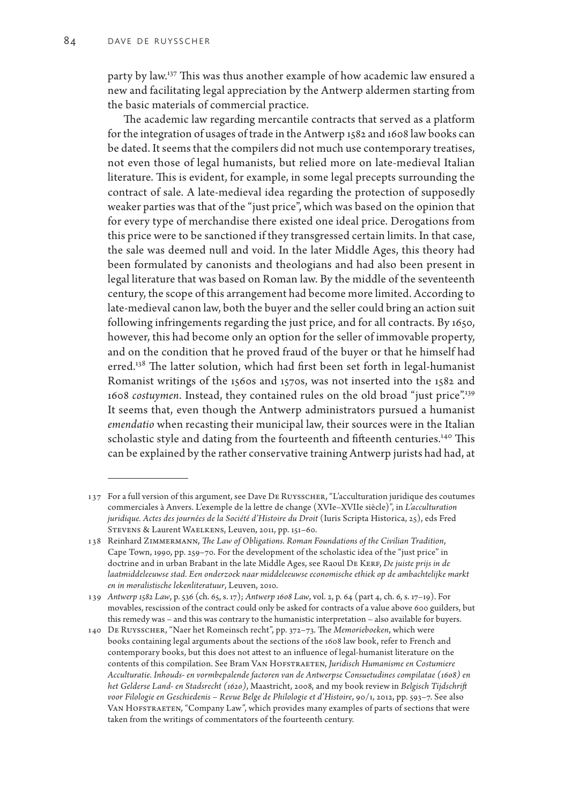party by law.137 This was thus another example of how academic law ensured a new and facilitating legal appreciation by the Antwerp aldermen starting from the basic materials of commercial practice.

The academic law regarding mercantile contracts that served as a platform for the integration of usages of trade in the Antwerp 1582 and 1608 law books can be dated. It seems that the compilers did not much use contemporary treatises, not even those of legal humanists, but relied more on late-medieval Italian literature. This is evident, for example, in some legal precepts surrounding the contract of sale. A late-medieval idea regarding the protection of supposedly weaker parties was that of the "just price", which was based on the opinion that for every type of merchandise there existed one ideal price. Derogations from this price were to be sanctioned if they transgressed certain limits. In that case, the sale was deemed null and void. In the later Middle Ages, this theory had been formulated by canonists and theologians and had also been present in legal literature that was based on Roman law. By the middle of the seventeenth century, the scope of this arrangement had become more limited. According to late-medieval canon law, both the buyer and the seller could bring an action suit following infringements regarding the just price, and for all contracts. By 1650, however, this had become only an option for the seller of immovable property, and on the condition that he proved fraud of the buyer or that he himself had erred.<sup>138</sup> The latter solution, which had first been set forth in legal-humanist Romanist writings of the 1560s and 1570s, was not inserted into the 1582 and 1608 *costuymen*. Instead, they contained rules on the old broad "just price".<sup>139</sup> It seems that, even though the Antwerp administrators pursued a humanist *emendatio* when recasting their municipal law, their sources were in the Italian scholastic style and dating from the fourteenth and fifteenth centuries.<sup>140</sup> This can be explained by the rather conservative training Antwerp jurists had had, at

<sup>137</sup> For a full version of this argument, see Dave De Ruysscher, "L'acculturation juridique des coutumes commerciales à Anvers. L'exemple de la lettre de change (XVIe–XVIIe siècle)", in *L'acculturation*  juridique. Actes des journées de la Société d'Histoire du Droit (Iuris Scripta Historica, 25), eds Fred Stevens & Laurent Waelkens, Leuven, 2011, pp. 151–60.

<sup>138</sup> Reinhard Zimmermann, *The Law of Obligations. Roman Foundations of the Civilian Tradition*, Cape Town, 1990, pp. 259–70. For the development of the scholastic idea of the "just price" in doctrine and in urban Brabant in the late Middle Ages, see Raoul DE KERF, *De juiste prijs in de laatmiddeleeuwse stad. Een onderzoek naar middeleeuwse economische ethiek op de ambachtelijke markt en in moralistische lekenliteratuur*, Leuven, 2010.

<sup>139</sup> *Antwerp 1582 Law*, p. 536 (ch. 65, s. 17); *Antwerp 1608 Law*, vol. 2, p. 64 (part 4, ch. 6, s. 17–19). For movables, rescission of the contract could only be asked for contracts of a value above 600 guilders, but this remedy was – and this was contrary to the humanistic interpretation – also available for buyers.

<sup>140</sup> De Ruysscher, "Naer het Romeinsch recht", pp. 372–73. The *Memorieboeken*, which were books containing legal arguments about the sections of the 1608 law book, refer to French and contemporary books, but this does not attest to an influence of legal-humanist literature on the contents of this compilation. See Bram Van Hofstraeten, *Juridisch Humanisme en Costumiere Acculturatie. Inhouds- en vormbepalende factoren van de Antwerpse Consuetudines compilatae (1608) en het Gelderse Land- en Stadsrecht (1620)*, Maastricht, 2008, and my book review in *Belgisch Tijdschrift*  voor Filologie en Geschiedenis - Revue Belge de Philologie et d'Histoire, 90/1, 2012, pp. 593-7. See also VAN HOFSTRAETEN, "Company Law", which provides many examples of parts of sections that were taken from the writings of commentators of the fourteenth century.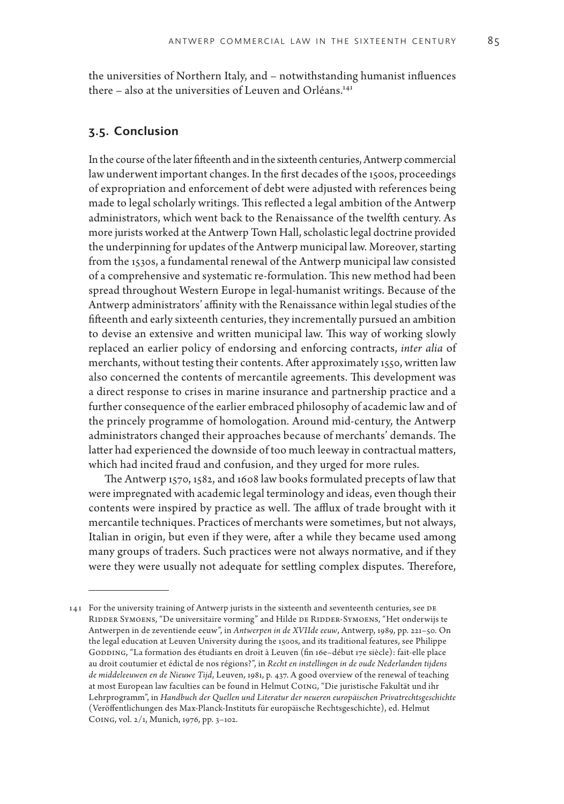the universities of Northern Italy, and – notwithstanding humanist influences there – also at the universities of Leuven and Orléans.<sup>141</sup>

#### **3.5. Conclusion**

In the course of the later fifteenth and in the sixteenth centuries, Antwerp commercial law underwent important changes. In the first decades of the 1500s, proceedings of expropriation and enforcement of debt were adjusted with references being made to legal scholarly writings. This reflected a legal ambition of the Antwerp administrators, which went back to the Renaissance of the twelfth century. As more jurists worked at the Antwerp Town Hall, scholastic legal doctrine provided the underpinning for updates of the Antwerp municipal law. Moreover, starting from the 1530s, a fundamental renewal of the Antwerp municipal law consisted of a comprehensive and systematic re-formulation. This new method had been spread throughout Western Europe in legal-humanist writings. Because of the Antwerp administrators' affinity with the Renaissance within legal studies of the fifteenth and early sixteenth centuries, they incrementally pursued an ambition to devise an extensive and written municipal law. This way of working slowly replaced an earlier policy of endorsing and enforcing contracts, *inter alia* of merchants, without testing their contents. After approximately 1550, written law also concerned the contents of mercantile agreements. This development was a direct response to crises in marine insurance and partnership practice and a further consequence of the earlier embraced philosophy of academic law and of the princely programme of homologation. Around mid-century, the Antwerp administrators changed their approaches because of merchants' demands. The latter had experienced the downside of too much leeway in contractual matters, which had incited fraud and confusion, and they urged for more rules.

The Antwerp 1570, 1582, and 1608 law books formulated precepts of law that were impregnated with academic legal terminology and ideas, even though their contents were inspired by practice as well. The afflux of trade brought with it mercantile techniques. Practices of merchants were sometimes, but not always, Italian in origin, but even if they were, after a while they became used among many groups of traders. Such practices were not always normative, and if they were they were usually not adequate for settling complex disputes. Therefore,

<sup>141</sup> For the university training of Antwerp jurists in the sixteenth and seventeenth centuries, see de RIDDER SYMOENS, "De universitaire vorming" and Hilde DE RIDDER-SYMOENS, "Het onderwijs te Antwerpen in de zeventiende eeuw", in *Antwerpen in de XVIIde eeuw*, Antwerp, 1989, pp. 221–50. On the legal education at Leuven University during the 1500s, and its traditional features, see Philippe GODDING, "La formation des étudiants en droit à Leuven (fin 16e-début 17e siècle): fait-elle place au droit coutumier et édictal de nos régions?", in *Recht en instellingen in de oude Nederlanden tijdens de middeleeuwen en de Nieuwe Tijd*, Leuven, 1981, p. 437. A good overview of the renewal of teaching at most European law faculties can be found in Helmut Coing, "Die juristische Fakultät und ihr Lehrprogramm", in *Handbuch der Quellen und Literatur der neueren europäischen Privatrechtsgeschichte* (Veröffentlichungen des Max-Planck-Instituts für europäische Rechtsgeschichte), ed. Helmut Coing, vol. 2/1, Munich, 1976, pp. 3–102.